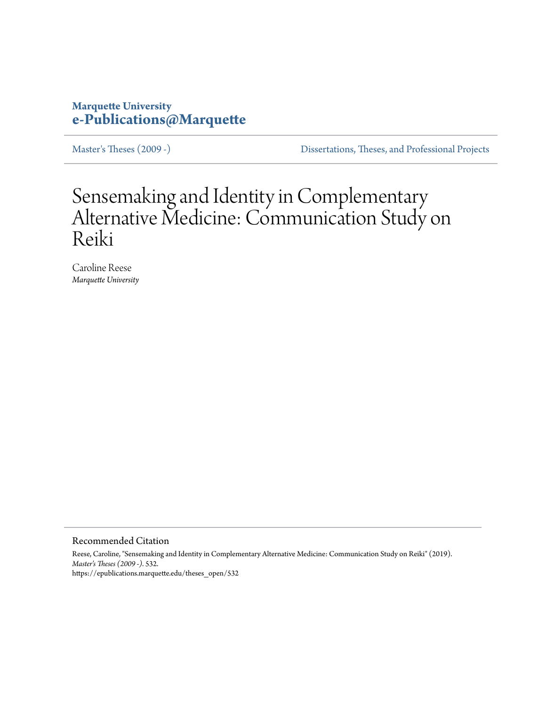# **Marquette University [e-Publications@Marquette](https://epublications.marquette.edu)**

[Master's Theses \(2009 -\)](https://epublications.marquette.edu/theses_open) [Dissertations, Theses, and Professional Projects](https://epublications.marquette.edu/diss_theses)

# Sensemaking and Identity in Complementary Alternative Medicine: Communication Study on Reiki

Caroline Reese *Marquette University*

Recommended Citation

Reese, Caroline, "Sensemaking and Identity in Complementary Alternative Medicine: Communication Study on Reiki" (2019). *Master's Theses (2009 -)*. 532. https://epublications.marquette.edu/theses\_open/532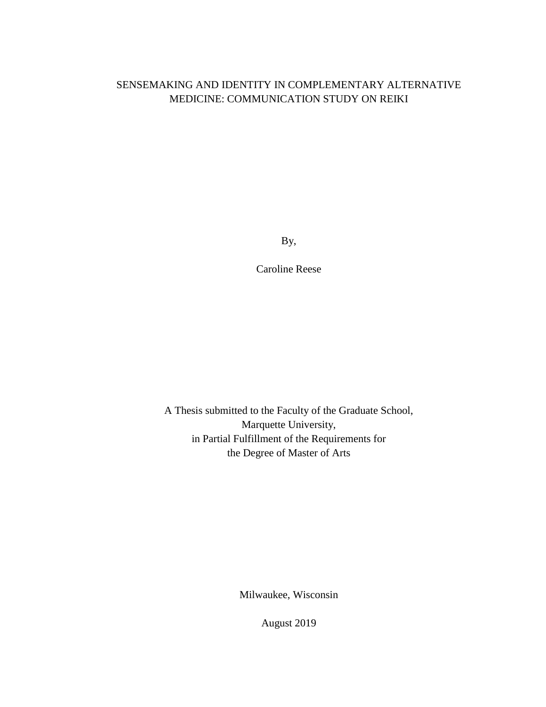# SENSEMAKING AND IDENTITY IN COMPLEMENTARY ALTERNATIVE MEDICINE: COMMUNICATION STUDY ON REIKI

By,

Caroline Reese

A Thesis submitted to the Faculty of the Graduate School, Marquette University, in Partial Fulfillment of the Requirements for the Degree of Master of Arts

Milwaukee, Wisconsin

August 2019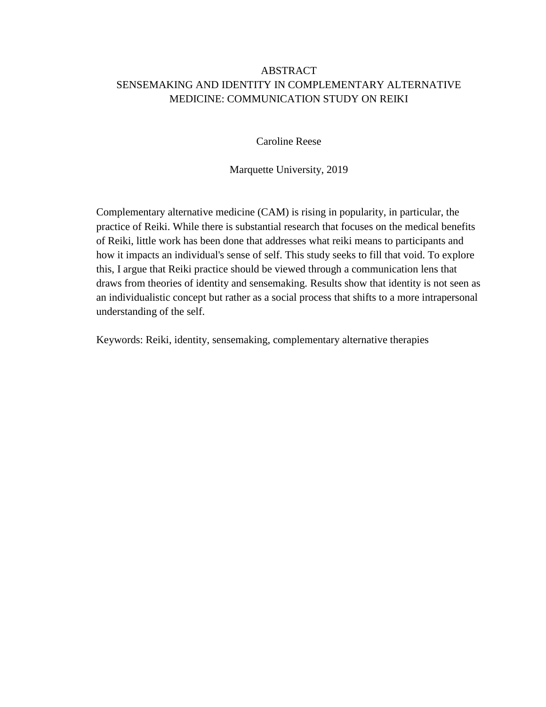# ABSTRACT SENSEMAKING AND IDENTITY IN COMPLEMENTARY ALTERNATIVE MEDICINE: COMMUNICATION STUDY ON REIKI

Caroline Reese

Marquette University, 2019

Complementary alternative medicine (CAM) is rising in popularity, in particular, the practice of Reiki. While there is substantial research that focuses on the medical benefits of Reiki, little work has been done that addresses what reiki means to participants and how it impacts an individual's sense of self. This study seeks to fill that void. To explore this, I argue that Reiki practice should be viewed through a communication lens that draws from theories of identity and sensemaking. Results show that identity is not seen as an individualistic concept but rather as a social process that shifts to a more intrapersonal understanding of the self.

Keywords: Reiki, identity, sensemaking, complementary alternative therapies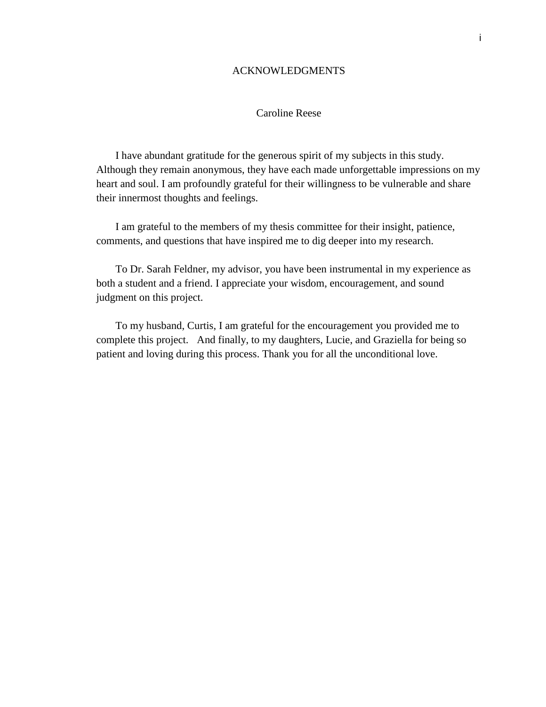# ACKNOWLEDGMENTS

# Caroline Reese

I have abundant gratitude for the generous spirit of my subjects in this study. Although they remain anonymous, they have each made unforgettable impressions on my heart and soul. I am profoundly grateful for their willingness to be vulnerable and share their innermost thoughts and feelings.

I am grateful to the members of my thesis committee for their insight, patience, comments, and questions that have inspired me to dig deeper into my research.

To Dr. Sarah Feldner, my advisor, you have been instrumental in my experience as both a student and a friend. I appreciate your wisdom, encouragement, and sound judgment on this project.

To my husband, Curtis, I am grateful for the encouragement you provided me to complete this project. And finally, to my daughters, Lucie, and Graziella for being so patient and loving during this process. Thank you for all the unconditional love.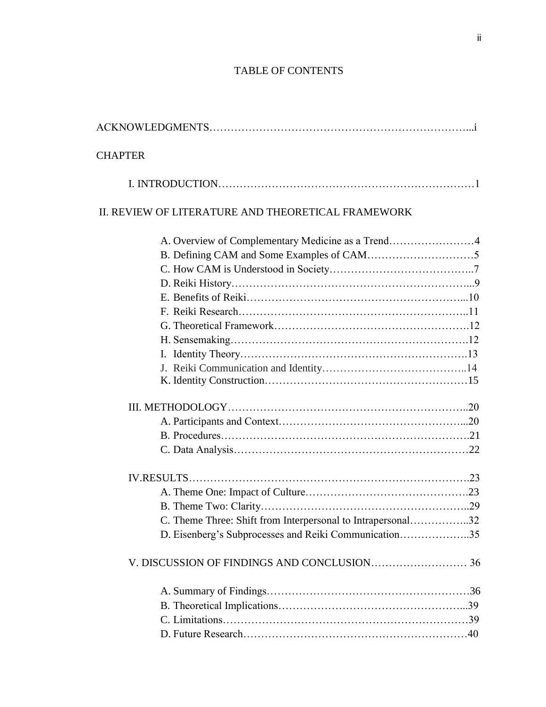# TABLE OF CONTENTS

| <b>CHAPTER</b> |                                                             |
|----------------|-------------------------------------------------------------|
|                |                                                             |
|                | II. REVIEW OF LITERATURE AND THEORETICAL FRAMEWORK          |
|                | A. Overview of Complementary Medicine as a Trend4           |
|                |                                                             |
|                |                                                             |
|                |                                                             |
|                |                                                             |
|                |                                                             |
|                |                                                             |
|                |                                                             |
|                |                                                             |
|                |                                                             |
|                |                                                             |
|                |                                                             |
|                |                                                             |
|                |                                                             |
|                |                                                             |
|                |                                                             |
|                |                                                             |
|                | C. Theme Three: Shift from Interpersonal to Intrapersonal32 |
|                | D. Eisenberg's Subprocesses and Reiki Communication35       |
|                |                                                             |
|                |                                                             |
|                |                                                             |
|                |                                                             |
|                |                                                             |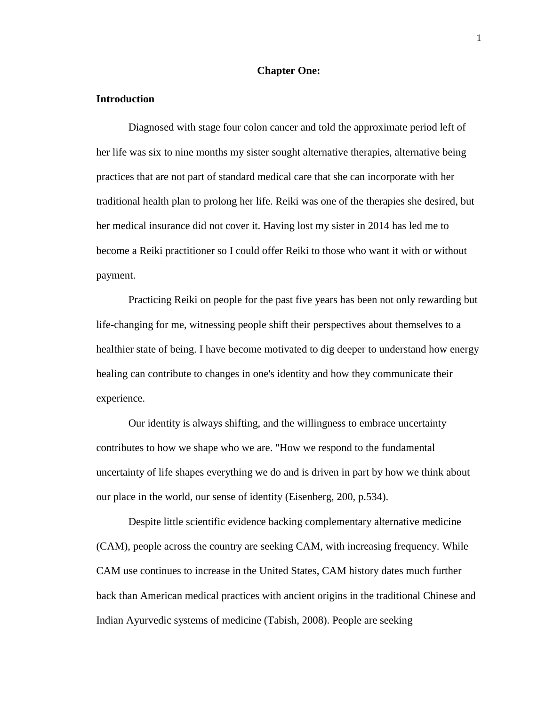# **Chapter One:**

#### **Introduction**

Diagnosed with stage four colon cancer and told the approximate period left of her life was six to nine months my sister sought alternative therapies, alternative being practices that are not part of standard medical care that she can incorporate with her traditional health plan to prolong her life. Reiki was one of the therapies she desired, but her medical insurance did not cover it. Having lost my sister in 2014 has led me to become a Reiki practitioner so I could offer Reiki to those who want it with or without payment.

Practicing Reiki on people for the past five years has been not only rewarding but life-changing for me, witnessing people shift their perspectives about themselves to a healthier state of being. I have become motivated to dig deeper to understand how energy healing can contribute to changes in one's identity and how they communicate their experience.

Our identity is always shifting, and the willingness to embrace uncertainty contributes to how we shape who we are. "How we respond to the fundamental uncertainty of life shapes everything we do and is driven in part by how we think about our place in the world, our sense of identity (Eisenberg, 200, p.534).

Despite little scientific evidence backing complementary alternative medicine (CAM), people across the country are seeking CAM, with increasing frequency. While CAM use continues to increase in the United States, CAM history dates much further back than American medical practices with ancient origins in the traditional Chinese and Indian Ayurvedic systems of medicine (Tabish, 2008). People are seeking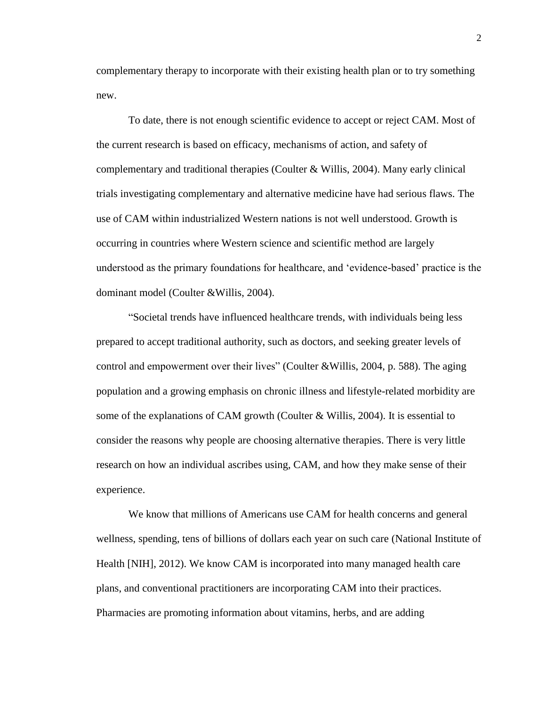complementary therapy to incorporate with their existing health plan or to try something new.

To date, there is not enough scientific evidence to accept or reject CAM. Most of the current research is based on efficacy, mechanisms of action, and safety of complementary and traditional therapies (Coulter & Willis, 2004). Many early clinical trials investigating complementary and alternative medicine have had serious flaws. The use of CAM within industrialized Western nations is not well understood. Growth is occurring in countries where Western science and scientific method are largely understood as the primary foundations for healthcare, and 'evidence-based' practice is the dominant model (Coulter &Willis, 2004).

"Societal trends have influenced healthcare trends, with individuals being less prepared to accept traditional authority, such as doctors, and seeking greater levels of control and empowerment over their lives" (Coulter &Willis, 2004, p. 588). The aging population and a growing emphasis on chronic illness and lifestyle-related morbidity are some of the explanations of CAM growth (Coulter & Willis, 2004). It is essential to consider the reasons why people are choosing alternative therapies. There is very little research on how an individual ascribes using, CAM, and how they make sense of their experience.

We know that millions of Americans use CAM for health concerns and general wellness, spending, tens of billions of dollars each year on such care (National Institute of Health [NIH], 2012). We know CAM is incorporated into many managed health care plans, and conventional practitioners are incorporating CAM into their practices. Pharmacies are promoting information about vitamins, herbs, and are adding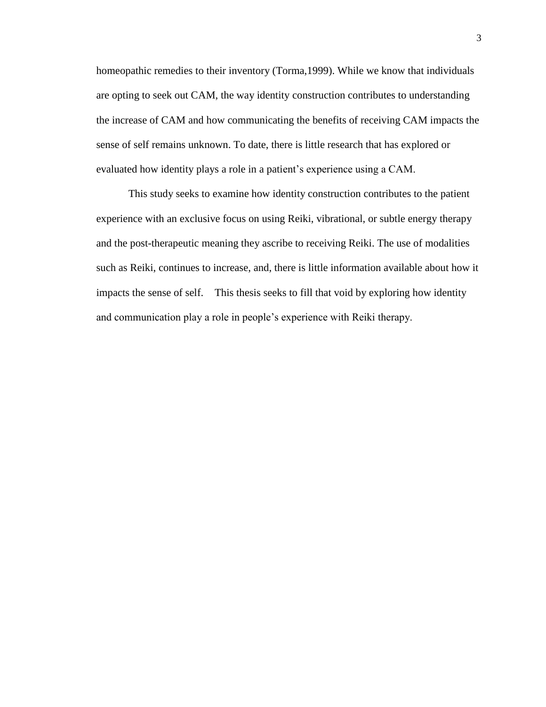homeopathic remedies to their inventory (Torma,1999). While we know that individuals are opting to seek out CAM, the way identity construction contributes to understanding the increase of CAM and how communicating the benefits of receiving CAM impacts the sense of self remains unknown. To date, there is little research that has explored or evaluated how identity plays a role in a patient's experience using a CAM.

This study seeks to examine how identity construction contributes to the patient experience with an exclusive focus on using Reiki, vibrational, or subtle energy therapy and the post-therapeutic meaning they ascribe to receiving Reiki. The use of modalities such as Reiki, continues to increase, and, there is little information available about how it impacts the sense of self. This thesis seeks to fill that void by exploring how identity and communication play a role in people's experience with Reiki therapy.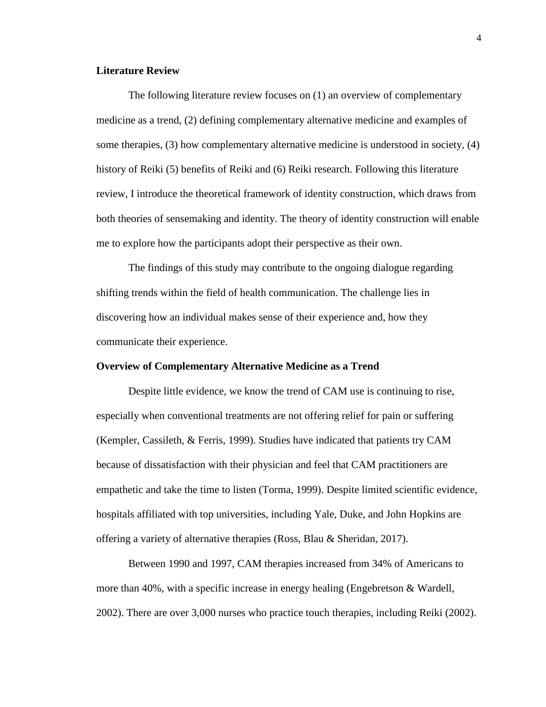# **Literature Review**

The following literature review focuses on (1) an overview of complementary medicine as a trend, (2) defining complementary alternative medicine and examples of some therapies, (3) how complementary alternative medicine is understood in society, (4) history of Reiki (5) benefits of Reiki and (6) Reiki research. Following this literature review, I introduce the theoretical framework of identity construction, which draws from both theories of sensemaking and identity. The theory of identity construction will enable me to explore how the participants adopt their perspective as their own.

The findings of this study may contribute to the ongoing dialogue regarding shifting trends within the field of health communication. The challenge lies in discovering how an individual makes sense of their experience and, how they communicate their experience.

#### **Overview of Complementary Alternative Medicine as a Trend**

Despite little evidence, we know the trend of CAM use is continuing to rise, especially when conventional treatments are not offering relief for pain or suffering (Kempler, Cassileth, & Ferris, 1999). Studies have indicated that patients try CAM because of dissatisfaction with their physician and feel that CAM practitioners are empathetic and take the time to listen (Torma, 1999). Despite limited scientific evidence, hospitals affiliated with top universities, including Yale, Duke, and John Hopkins are offering a variety of alternative therapies (Ross, Blau & Sheridan, 2017).

Between 1990 and 1997, CAM therapies increased from 34% of Americans to more than 40%, with a specific increase in energy healing (Engebretson & Wardell, 2002). There are over 3,000 nurses who practice touch therapies, including Reiki (2002).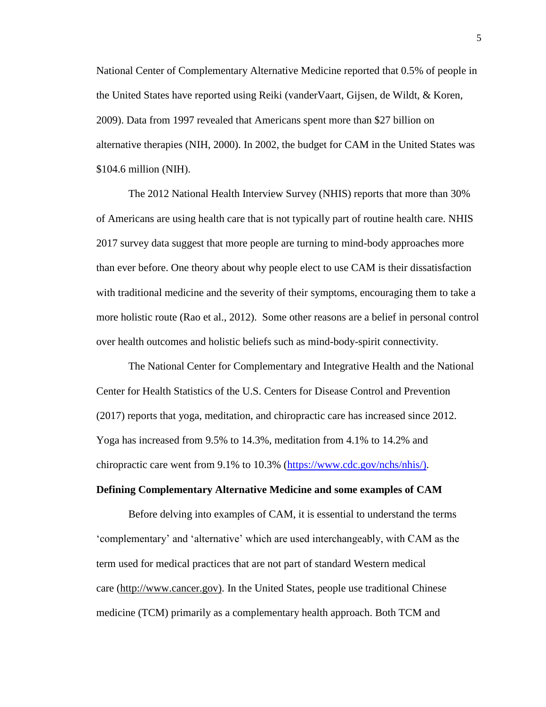National Center of Complementary Alternative Medicine reported that 0.5% of people in the United States have reported using Reiki (vanderVaart, Gijsen, de Wildt, & Koren, 2009). Data from 1997 revealed that Americans spent more than \$27 billion on alternative therapies (NIH, 2000). In 2002, the budget for CAM in the United States was \$104.6 million (NIH).

The 2012 National Health Interview Survey (NHIS) reports that more than 30% of Americans are using health care that is not typically part of routine health care. NHIS 2017 survey data suggest that more people are turning to mind-body approaches more than ever before. One theory about why people elect to use CAM is their dissatisfaction with traditional medicine and the severity of their symptoms, encouraging them to take a more holistic route (Rao et al., 2012). Some other reasons are a belief in personal control over health outcomes and holistic beliefs such as mind-body-spirit connectivity.

The National Center for Complementary and Integrative Health and the National Center for Health Statistics of the U.S. Centers for Disease Control and Prevention (2017) reports that yoga, meditation, and chiropractic care has increased since 2012. Yoga has increased from 9.5% to 14.3%, meditation from 4.1% to 14.2% and chiropractic care went from 9.1% to 10.3% [\(https://www.cdc.gov/nchs/nhis/\).](https://www.cdc.gov/nchs/nhis/))

#### **Defining Complementary Alternative Medicine and some examples of CAM**

Before delving into examples of CAM, it is essential to understand the terms 'complementary' and 'alternative' which are used interchangeably, with CAM as the term used for medical practices that are not part of standard Western medical care [\(http://www.cancer.gov\).](http://www.cancer.gov)/) In the United States, people use traditional Chinese medicine (TCM) primarily as a complementary health approach. Both TCM and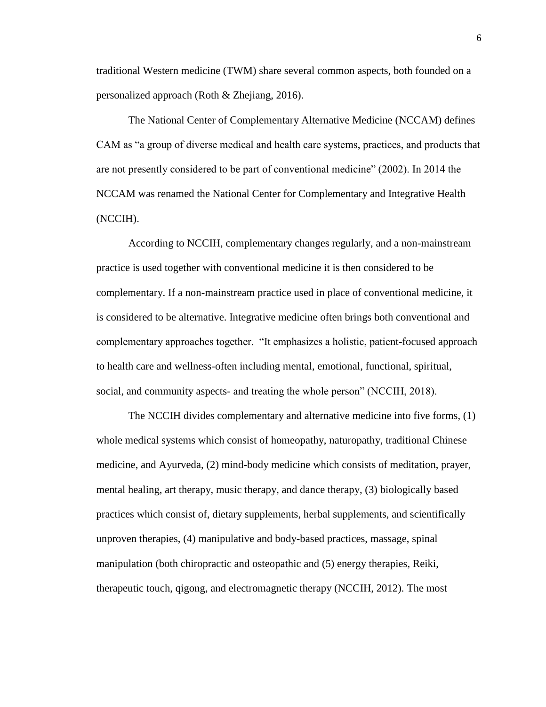traditional Western medicine (TWM) share several common aspects, both founded on a personalized approach (Roth & Zhejiang, 2016).

The National Center of Complementary Alternative Medicine (NCCAM) defines CAM as "a group of diverse medical and health care systems, practices, and products that are not presently considered to be part of conventional medicine" (2002). In 2014 the NCCAM was renamed the National Center for Complementary and Integrative Health (NCCIH).

According to NCCIH, complementary changes regularly, and a non-mainstream practice is used together with conventional medicine it is then considered to be complementary. If a non-mainstream practice used in place of conventional medicine, it is considered to be alternative. Integrative medicine often brings both conventional and complementary approaches together. "It emphasizes a holistic, patient-focused approach to health care and wellness-often including mental, emotional, functional, spiritual, social, and community aspects- and treating the whole person" (NCCIH, 2018).

The NCCIH divides complementary and alternative medicine into five forms, (1) whole medical systems which consist of homeopathy, naturopathy, traditional Chinese medicine, and Ayurveda, (2) mind-body medicine which consists of meditation, prayer, mental healing, art therapy, music therapy, and dance therapy, (3) biologically based practices which consist of, dietary supplements, herbal supplements, and scientifically unproven therapies, (4) manipulative and body-based practices, massage, spinal manipulation (both chiropractic and osteopathic and (5) energy therapies, Reiki, therapeutic touch, qigong, and electromagnetic therapy (NCCIH, 2012). The most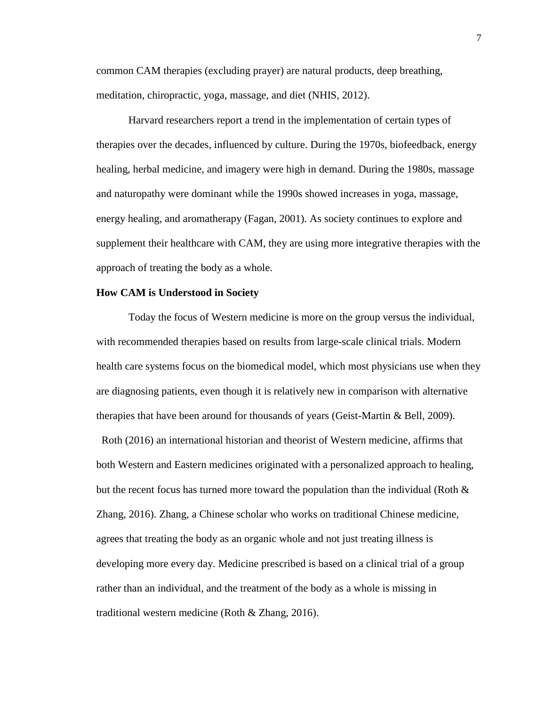common CAM therapies (excluding prayer) are natural products, deep breathing, meditation, chiropractic, yoga, massage, and diet (NHIS, 2012).

Harvard researchers report a trend in the implementation of certain types of therapies over the decades, influenced by culture. During the 1970s, biofeedback, energy healing, herbal medicine, and imagery were high in demand. During the 1980s, massage and naturopathy were dominant while the 1990s showed increases in yoga, massage, energy healing, and aromatherapy (Fagan, 2001). As society continues to explore and supplement their healthcare with CAM, they are using more integrative therapies with the approach of treating the body as a whole.

#### **How CAM is Understood in Society**

Today the focus of Western medicine is more on the group versus the individual, with recommended therapies based on results from large-scale clinical trials. Modern health care systems focus on the biomedical model, which most physicians use when they are diagnosing patients, even though it is relatively new in comparison with alternative therapies that have been around for thousands of years (Geist-Martin & Bell, 2009).

 Roth (2016) an international historian and theorist of Western medicine, affirms that both Western and Eastern medicines originated with a personalized approach to healing, but the recent focus has turned more toward the population than the individual (Roth  $\&$ Zhang, 2016). Zhang, a Chinese scholar who works on traditional Chinese medicine, agrees that treating the body as an organic whole and not just treating illness is developing more every day. Medicine prescribed is based on a clinical trial of a group rather than an individual, and the treatment of the body as a whole is missing in traditional western medicine (Roth & Zhang, 2016).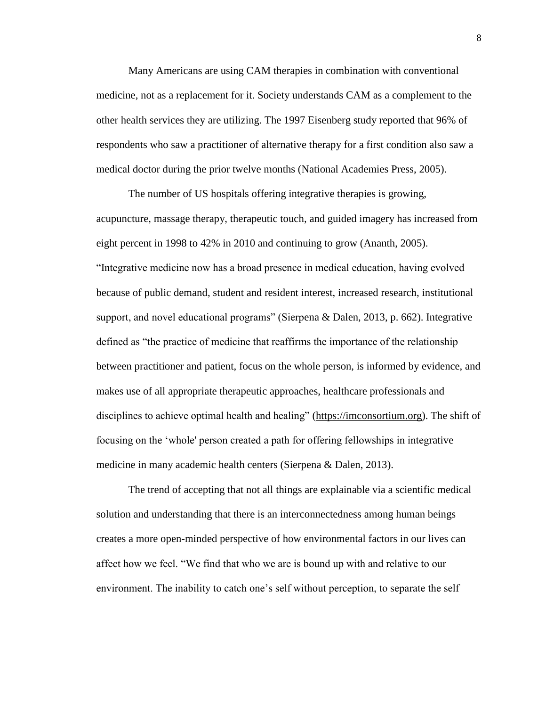Many Americans are using CAM therapies in combination with conventional medicine, not as a replacement for it. Society understands CAM as a complement to the other health services they are utilizing. The 1997 Eisenberg study reported that 96% of respondents who saw a practitioner of alternative therapy for a first condition also saw a medical doctor during the prior twelve months (National Academies Press, 2005).

The number of US hospitals offering integrative therapies is growing, acupuncture, massage therapy, therapeutic touch, and guided imagery has increased from eight percent in 1998 to 42% in 2010 and continuing to grow (Ananth, 2005). "Integrative medicine now has a broad presence in medical education, having evolved because of public demand, student and resident interest, increased research, institutional support, and novel educational programs" (Sierpena & Dalen, 2013, p. 662). Integrative defined as "the practice of medicine that reaffirms the importance of the relationship between practitioner and patient, focus on the whole person, is informed by evidence, and makes use of all appropriate therapeutic approaches, healthcare professionals and disciplines to achieve optimal health and healing" [\(https://imconsortium.org\)](https://imconsortium.org/). The shift of focusing on the 'whole' person created a path for offering fellowships in integrative medicine in many academic health centers (Sierpena & Dalen, 2013).

The trend of accepting that not all things are explainable via a scientific medical solution and understanding that there is an interconnectedness among human beings creates a more open-minded perspective of how environmental factors in our lives can affect how we feel. "We find that who we are is bound up with and relative to our environment. The inability to catch one's self without perception, to separate the self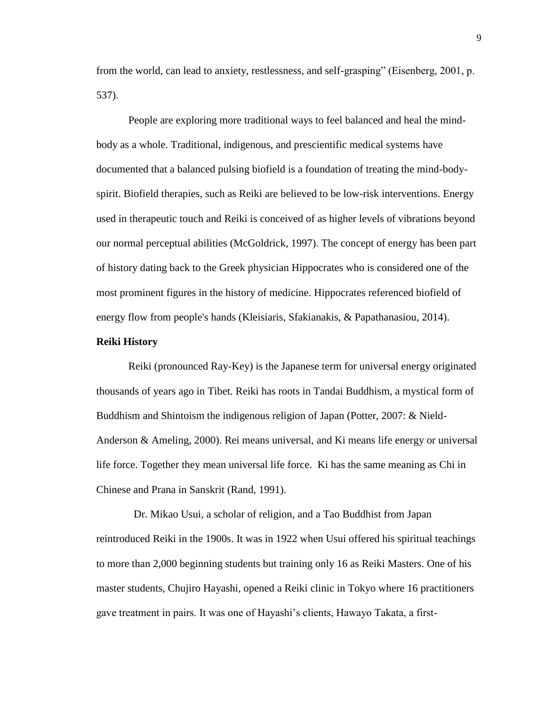from the world, can lead to anxiety, restlessness, and self-grasping" (Eisenberg, 2001, p. 537).

People are exploring more traditional ways to feel balanced and heal the mindbody as a whole. Traditional, indigenous, and prescientific medical systems have documented that a balanced pulsing biofield is a foundation of treating the mind-bodyspirit. Biofield therapies, such as Reiki are believed to be low-risk interventions. Energy used in therapeutic touch and Reiki is conceived of as higher levels of vibrations beyond our normal perceptual abilities (McGoldrick, 1997). The concept of energy has been part of history dating back to the Greek physician Hippocrates who is considered one of the most prominent figures in the history of medicine. Hippocrates referenced biofield of energy flow from people's hands (Kleisiaris, Sfakianakis, & Papathanasiou, 2014).

#### **Reiki History**

Reiki (pronounced Ray-Key) is the Japanese term for universal energy originated thousands of years ago in Tibet. Reiki has roots in Tandai Buddhism, a mystical form of Buddhism and Shintoism the indigenous religion of Japan (Potter, 2007: & Nield-Anderson & Ameling, 2000). Rei means universal, and Ki means life energy or universal life force. Together they mean universal life force. Ki has the same meaning as Chi in Chinese and Prana in Sanskrit (Rand, 1991).

 Dr. Mikao Usui, a scholar of religion, and a Tao Buddhist from Japan reintroduced Reiki in the 1900s. It was in 1922 when Usui offered his spiritual teachings to more than 2,000 beginning students but training only 16 as Reiki Masters. One of his master students, Chujiro Hayashi, opened a Reiki clinic in Tokyo where 16 practitioners gave treatment in pairs. It was one of Hayashi's clients, Hawayo Takata, a first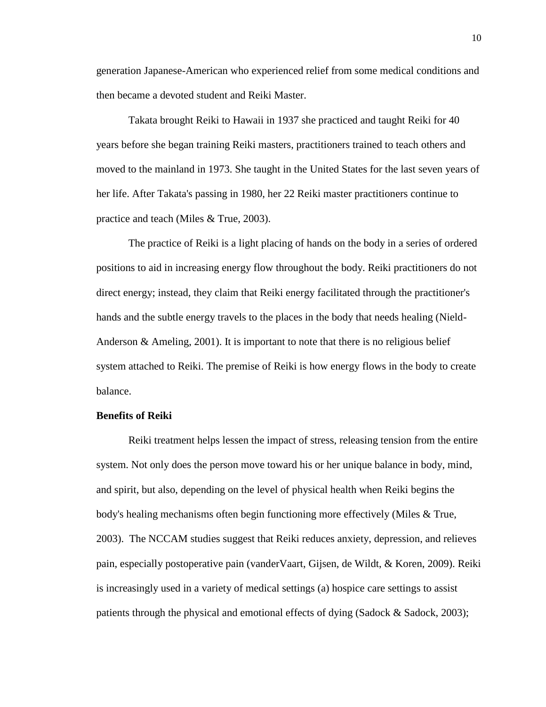generation Japanese-American who experienced relief from some medical conditions and then became a devoted student and Reiki Master.

Takata brought Reiki to Hawaii in 1937 she practiced and taught Reiki for 40 years before she began training Reiki masters, practitioners trained to teach others and moved to the mainland in 1973. She taught in the United States for the last seven years of her life. After Takata's passing in 1980, her 22 Reiki master practitioners continue to practice and teach (Miles & True, 2003).

The practice of Reiki is a light placing of hands on the body in a series of ordered positions to aid in increasing energy flow throughout the body. Reiki practitioners do not direct energy; instead, they claim that Reiki energy facilitated through the practitioner's hands and the subtle energy travels to the places in the body that needs healing (Nield-Anderson & Ameling, 2001). It is important to note that there is no religious belief system attached to Reiki. The premise of Reiki is how energy flows in the body to create balance.

#### **Benefits of Reiki**

Reiki treatment helps lessen the impact of stress, releasing tension from the entire system. Not only does the person move toward his or her unique balance in body, mind, and spirit, but also, depending on the level of physical health when Reiki begins the body's healing mechanisms often begin functioning more effectively (Miles & True, 2003). The NCCAM studies suggest that Reiki reduces anxiety, depression, and relieves pain, especially postoperative pain (vanderVaart, Gijsen, de Wildt, & Koren, 2009). Reiki is increasingly used in a variety of medical settings (a) hospice care settings to assist patients through the physical and emotional effects of dying (Sadock & Sadock, 2003);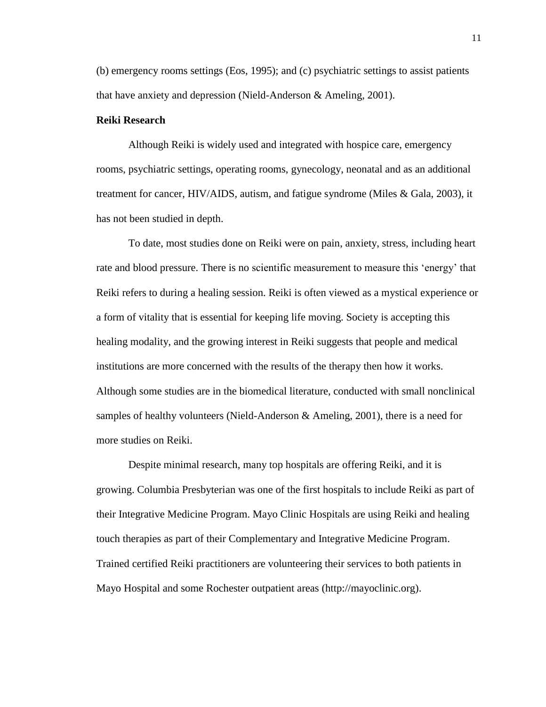(b) emergency rooms settings (Eos, 1995); and (c) psychiatric settings to assist patients that have anxiety and depression (Nield-Anderson & Ameling, 2001).

#### **Reiki Research**

Although Reiki is widely used and integrated with hospice care, emergency rooms, psychiatric settings, operating rooms, gynecology, neonatal and as an additional treatment for cancer, HIV/AIDS, autism, and fatigue syndrome (Miles & Gala, 2003), it has not been studied in depth.

To date, most studies done on Reiki were on pain, anxiety, stress, including heart rate and blood pressure. There is no scientific measurement to measure this 'energy' that Reiki refers to during a healing session. Reiki is often viewed as a mystical experience or a form of vitality that is essential for keeping life moving. Society is accepting this healing modality, and the growing interest in Reiki suggests that people and medical institutions are more concerned with the results of the therapy then how it works. Although some studies are in the biomedical literature, conducted with small nonclinical samples of healthy volunteers (Nield-Anderson  $\&$  Ameling, 2001), there is a need for more studies on Reiki.

Despite minimal research, many top hospitals are offering Reiki, and it is growing. Columbia Presbyterian was one of the first hospitals to include Reiki as part of their Integrative Medicine Program. Mayo Clinic Hospitals are using Reiki and healing touch therapies as part of their Complementary and Integrative Medicine Program. Trained certified Reiki practitioners are volunteering their services to both patients in Mayo Hospital and some Rochester outpatient areas (http://mayoclinic.org).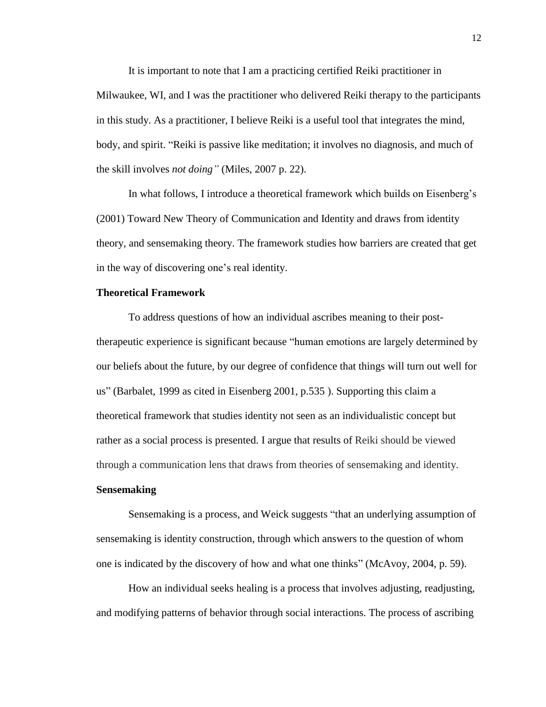It is important to note that I am a practicing certified Reiki practitioner in Milwaukee, WI, and I was the practitioner who delivered Reiki therapy to the participants in this study. As a practitioner, I believe Reiki is a useful tool that integrates the mind, body, and spirit. "Reiki is passive like meditation; it involves no diagnosis, and much of the skill involves *not doing"* (Miles, 2007 p. 22).

In what follows, I introduce a theoretical framework which builds on Eisenberg's (2001) Toward New Theory of Communication and Identity and draws from identity theory, and sensemaking theory. The framework studies how barriers are created that get in the way of discovering one's real identity.

#### **Theoretical Framework**

To address questions of how an individual ascribes meaning to their posttherapeutic experience is significant because "human emotions are largely determined by our beliefs about the future, by our degree of confidence that things will turn out well for us" (Barbalet, 1999 as cited in Eisenberg 2001, p.535 ). Supporting this claim a theoretical framework that studies identity not seen as an individualistic concept but rather as a social process is presented. I argue that results of Reiki should be viewed through a communication lens that draws from theories of sensemaking and identity.

#### **Sensemaking**

Sensemaking is a process, and Weick suggests "that an underlying assumption of sensemaking is identity construction, through which answers to the question of whom one is indicated by the discovery of how and what one thinks" (McAvoy, 2004, p. 59).

How an individual seeks healing is a process that involves adjusting, readjusting, and modifying patterns of behavior through social interactions. The process of ascribing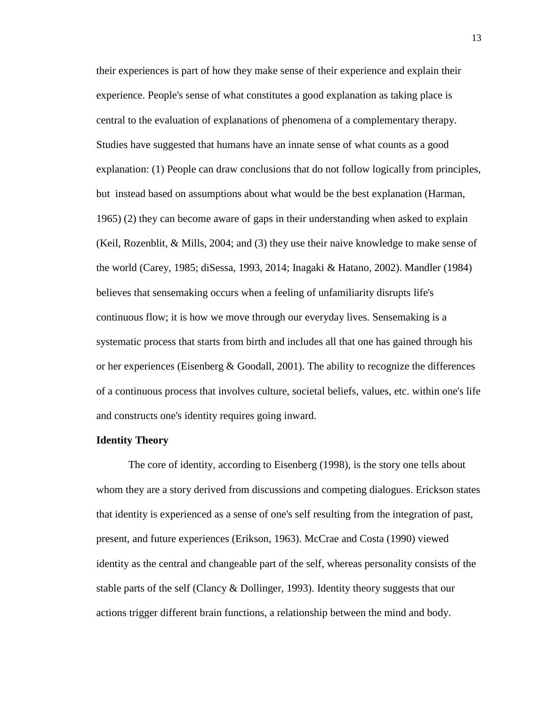their experiences is part of how they make sense of their experience and explain their experience. People's sense of what constitutes a good explanation as taking place is central to the evaluation of explanations of phenomena of a complementary therapy. Studies have suggested that humans have an innate sense of what counts as a good explanation: (1) People can draw conclusions that do not follow logically from principles, but instead based on assumptions about what would be the best explanation (Harman, 1965) (2) they can become aware of gaps in their understanding when asked to explain (Keil, Rozenblit, & Mills, 2004; and (3) they use their naive knowledge to make sense of the world (Carey, 1985; diSessa, 1993, 2014; Inagaki & Hatano, 2002). Mandler (1984) believes that sensemaking occurs when a feeling of unfamiliarity disrupts life's continuous flow; it is how we move through our everyday lives. Sensemaking is a systematic process that starts from birth and includes all that one has gained through his or her experiences (Eisenberg & Goodall, 2001). The ability to recognize the differences of a continuous process that involves culture, societal beliefs, values, etc. within one's life and constructs one's identity requires going inward.

#### **Identity Theory**

The core of identity, according to Eisenberg (1998), is the story one tells about whom they are a story derived from discussions and competing dialogues. Erickson states that identity is experienced as a sense of one's self resulting from the integration of past, present, and future experiences (Erikson, 1963). McCrae and Costa (1990) viewed identity as the central and changeable part of the self, whereas personality consists of the stable parts of the self (Clancy & Dollinger, 1993). Identity theory suggests that our actions trigger different brain functions, a relationship between the mind and body.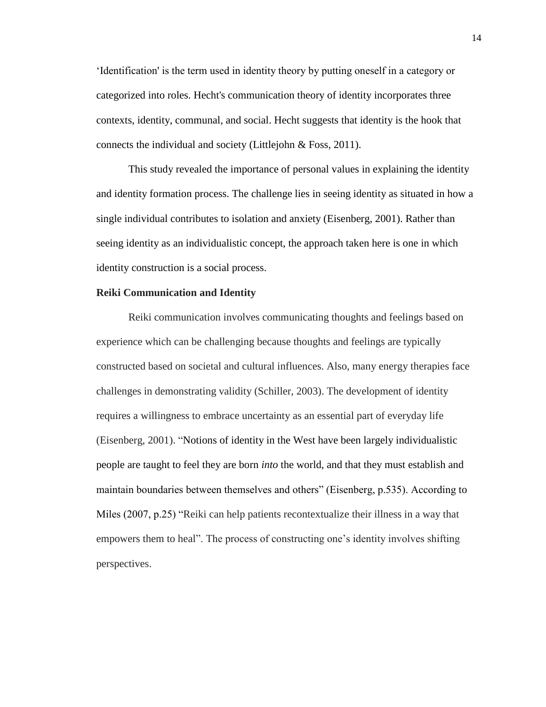'Identification' is the term used in identity theory by putting oneself in a category or categorized into roles. Hecht's communication theory of identity incorporates three contexts, identity, communal, and social. Hecht suggests that identity is the hook that connects the individual and society (Littlejohn & Foss, 2011).

This study revealed the importance of personal values in explaining the identity and identity formation process. The challenge lies in seeing identity as situated in how a single individual contributes to isolation and anxiety (Eisenberg, 2001). Rather than seeing identity as an individualistic concept, the approach taken here is one in which identity construction is a social process.

#### **Reiki Communication and Identity**

Reiki communication involves communicating thoughts and feelings based on experience which can be challenging because thoughts and feelings are typically constructed based on societal and cultural influences. Also, many energy therapies face challenges in demonstrating validity (Schiller, 2003). The development of identity requires a willingness to embrace uncertainty as an essential part of everyday life (Eisenberg, 2001). "Notions of identity in the West have been largely individualistic people are taught to feel they are born *into* the world, and that they must establish and maintain boundaries between themselves and others" (Eisenberg, p.535). According to Miles (2007, p.25) "Reiki can help patients recontextualize their illness in a way that empowers them to heal". The process of constructing one's identity involves shifting perspectives.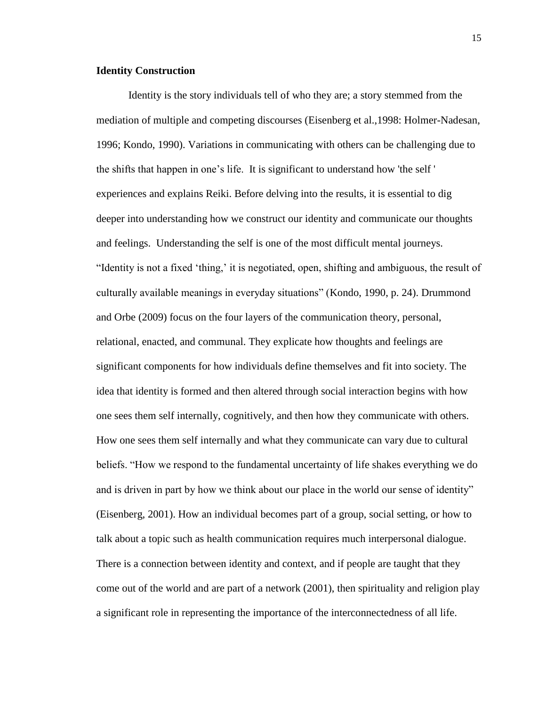# **Identity Construction**

Identity is the story individuals tell of who they are; a story stemmed from the mediation of multiple and competing discourses (Eisenberg et al.,1998: Holmer-Nadesan, 1996; Kondo, 1990). Variations in communicating with others can be challenging due to the shifts that happen in one's life. It is significant to understand how 'the self ' experiences and explains Reiki. Before delving into the results, it is essential to dig deeper into understanding how we construct our identity and communicate our thoughts and feelings. Understanding the self is one of the most difficult mental journeys. "Identity is not a fixed 'thing,' it is negotiated, open, shifting and ambiguous, the result of culturally available meanings in everyday situations" (Kondo, 1990, p. 24). Drummond and Orbe (2009) focus on the four layers of the communication theory, personal, relational, enacted, and communal. They explicate how thoughts and feelings are significant components for how individuals define themselves and fit into society. The idea that identity is formed and then altered through social interaction begins with how one sees them self internally, cognitively, and then how they communicate with others. How one sees them self internally and what they communicate can vary due to cultural beliefs. "How we respond to the fundamental uncertainty of life shakes everything we do and is driven in part by how we think about our place in the world our sense of identity" (Eisenberg, 2001). How an individual becomes part of a group, social setting, or how to talk about a topic such as health communication requires much interpersonal dialogue. There is a connection between identity and context, and if people are taught that they come out of the world and are part of a network (2001), then spirituality and religion play a significant role in representing the importance of the interconnectedness of all life.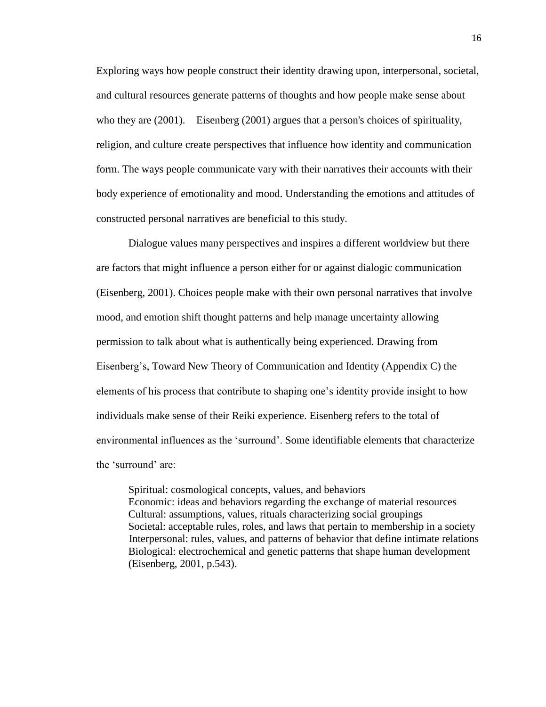Exploring ways how people construct their identity drawing upon, interpersonal, societal, and cultural resources generate patterns of thoughts and how people make sense about who they are (2001). Eisenberg (2001) argues that a person's choices of spirituality, religion, and culture create perspectives that influence how identity and communication form. The ways people communicate vary with their narratives their accounts with their body experience of emotionality and mood. Understanding the emotions and attitudes of constructed personal narratives are beneficial to this study.

Dialogue values many perspectives and inspires a different worldview but there are factors that might influence a person either for or against dialogic communication (Eisenberg, 2001). Choices people make with their own personal narratives that involve mood, and emotion shift thought patterns and help manage uncertainty allowing permission to talk about what is authentically being experienced. Drawing from Eisenberg's, Toward New Theory of Communication and Identity (Appendix C) the elements of his process that contribute to shaping one's identity provide insight to how individuals make sense of their Reiki experience. Eisenberg refers to the total of environmental influences as the 'surround'. Some identifiable elements that characterize the 'surround' are:

Spiritual: cosmological concepts, values, and behaviors Economic: ideas and behaviors regarding the exchange of material resources Cultural: assumptions, values, rituals characterizing social groupings Societal: acceptable rules, roles, and laws that pertain to membership in a society Interpersonal: rules, values, and patterns of behavior that define intimate relations Biological: electrochemical and genetic patterns that shape human development (Eisenberg, 2001, p.543).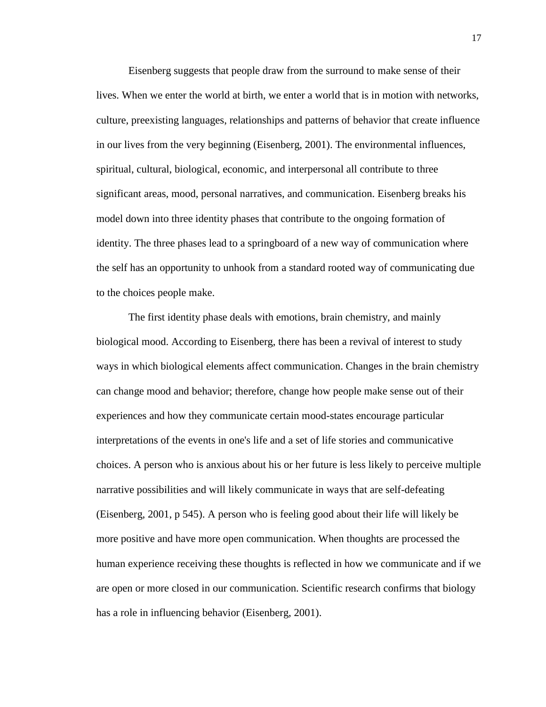Eisenberg suggests that people draw from the surround to make sense of their lives. When we enter the world at birth, we enter a world that is in motion with networks, culture, preexisting languages, relationships and patterns of behavior that create influence in our lives from the very beginning (Eisenberg, 2001). The environmental influences, spiritual, cultural, biological, economic, and interpersonal all contribute to three significant areas, mood, personal narratives, and communication. Eisenberg breaks his model down into three identity phases that contribute to the ongoing formation of identity. The three phases lead to a springboard of a new way of communication where the self has an opportunity to unhook from a standard rooted way of communicating due to the choices people make.

The first identity phase deals with emotions, brain chemistry, and mainly biological mood. According to Eisenberg, there has been a revival of interest to study ways in which biological elements affect communication. Changes in the brain chemistry can change mood and behavior; therefore, change how people make sense out of their experiences and how they communicate certain mood-states encourage particular interpretations of the events in one's life and a set of life stories and communicative choices. A person who is anxious about his or her future is less likely to perceive multiple narrative possibilities and will likely communicate in ways that are self-defeating (Eisenberg, 2001, p 545). A person who is feeling good about their life will likely be more positive and have more open communication. When thoughts are processed the human experience receiving these thoughts is reflected in how we communicate and if we are open or more closed in our communication. Scientific research confirms that biology has a role in influencing behavior (Eisenberg, 2001).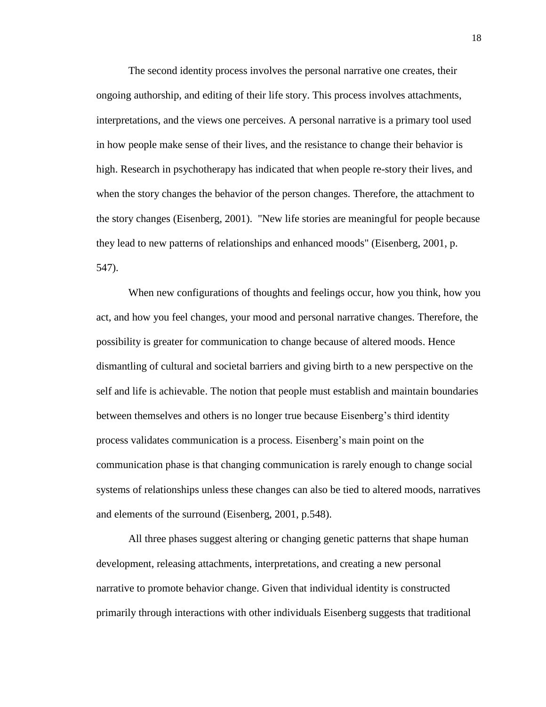The second identity process involves the personal narrative one creates, their ongoing authorship, and editing of their life story. This process involves attachments, interpretations, and the views one perceives. A personal narrative is a primary tool used in how people make sense of their lives, and the resistance to change their behavior is high. Research in psychotherapy has indicated that when people re-story their lives, and when the story changes the behavior of the person changes. Therefore, the attachment to the story changes (Eisenberg, 2001). "New life stories are meaningful for people because they lead to new patterns of relationships and enhanced moods" (Eisenberg, 2001, p. 547).

When new configurations of thoughts and feelings occur, how you think, how you act, and how you feel changes, your mood and personal narrative changes. Therefore, the possibility is greater for communication to change because of altered moods. Hence dismantling of cultural and societal barriers and giving birth to a new perspective on the self and life is achievable. The notion that people must establish and maintain boundaries between themselves and others is no longer true because Eisenberg's third identity process validates communication is a process. Eisenberg's main point on the communication phase is that changing communication is rarely enough to change social systems of relationships unless these changes can also be tied to altered moods, narratives and elements of the surround (Eisenberg, 2001, p.548).

All three phases suggest altering or changing genetic patterns that shape human development, releasing attachments, interpretations, and creating a new personal narrative to promote behavior change. Given that individual identity is constructed primarily through interactions with other individuals Eisenberg suggests that traditional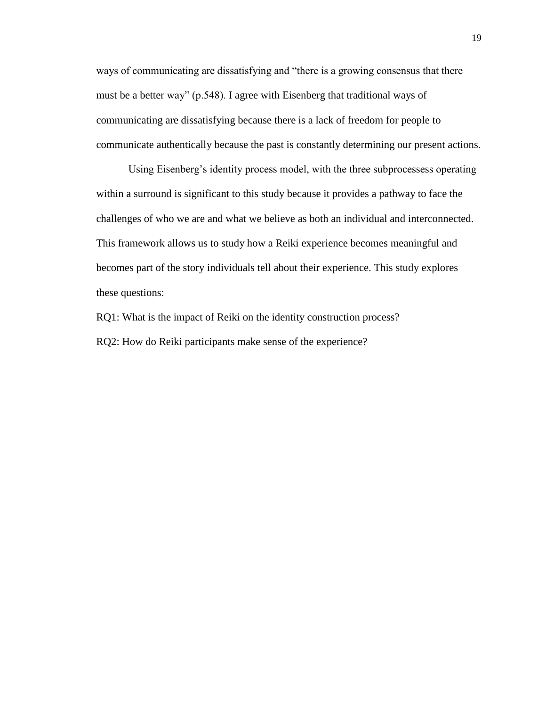ways of communicating are dissatisfying and "there is a growing consensus that there must be a better way" (p.548). I agree with Eisenberg that traditional ways of communicating are dissatisfying because there is a lack of freedom for people to communicate authentically because the past is constantly determining our present actions.

Using Eisenberg's identity process model, with the three subprocessess operating within a surround is significant to this study because it provides a pathway to face the challenges of who we are and what we believe as both an individual and interconnected. This framework allows us to study how a Reiki experience becomes meaningful and becomes part of the story individuals tell about their experience. This study explores these questions:

RQ1: What is the impact of Reiki on the identity construction process? RQ2: How do Reiki participants make sense of the experience?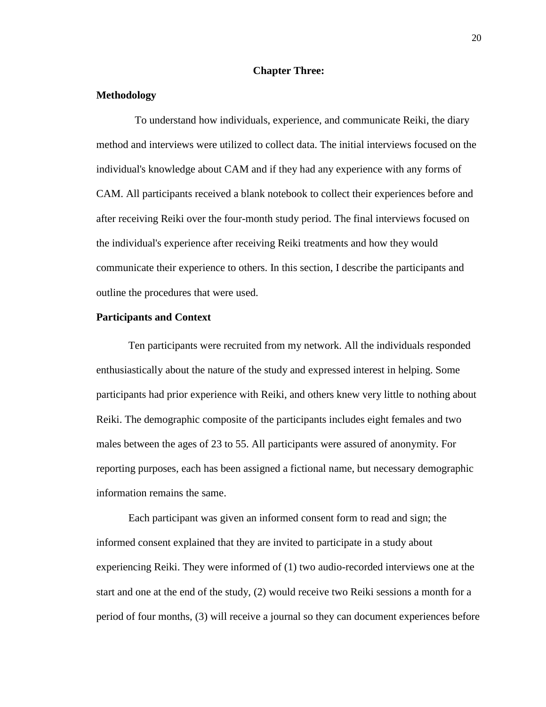# **Chapter Three:**

# **Methodology**

To understand how individuals, experience, and communicate Reiki, the diary method and interviews were utilized to collect data. The initial interviews focused on the individual's knowledge about CAM and if they had any experience with any forms of CAM. All participants received a blank notebook to collect their experiences before and after receiving Reiki over the four-month study period. The final interviews focused on the individual's experience after receiving Reiki treatments and how they would communicate their experience to others. In this section, I describe the participants and outline the procedures that were used.

#### **Participants and Context**

Ten participants were recruited from my network. All the individuals responded enthusiastically about the nature of the study and expressed interest in helping. Some participants had prior experience with Reiki, and others knew very little to nothing about Reiki. The demographic composite of the participants includes eight females and two males between the ages of 23 to 55. All participants were assured of anonymity. For reporting purposes, each has been assigned a fictional name, but necessary demographic information remains the same.

Each participant was given an informed consent form to read and sign; the informed consent explained that they are invited to participate in a study about experiencing Reiki. They were informed of (1) two audio-recorded interviews one at the start and one at the end of the study, (2) would receive two Reiki sessions a month for a period of four months, (3) will receive a journal so they can document experiences before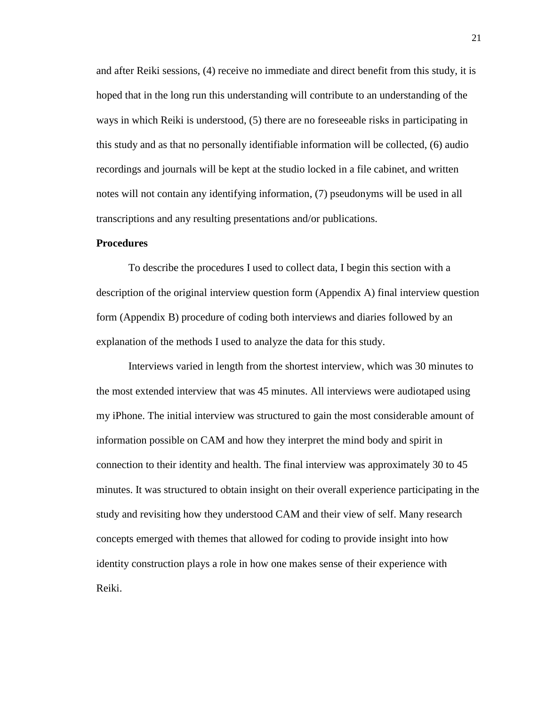and after Reiki sessions, (4) receive no immediate and direct benefit from this study, it is hoped that in the long run this understanding will contribute to an understanding of the ways in which Reiki is understood, (5) there are no foreseeable risks in participating in this study and as that no personally identifiable information will be collected, (6) audio recordings and journals will be kept at the studio locked in a file cabinet, and written notes will not contain any identifying information, (7) pseudonyms will be used in all transcriptions and any resulting presentations and/or publications.

#### **Procedures**

To describe the procedures I used to collect data, I begin this section with a description of the original interview question form (Appendix A) final interview question form (Appendix B) procedure of coding both interviews and diaries followed by an explanation of the methods I used to analyze the data for this study.

Interviews varied in length from the shortest interview, which was 30 minutes to the most extended interview that was 45 minutes. All interviews were audiotaped using my iPhone. The initial interview was structured to gain the most considerable amount of information possible on CAM and how they interpret the mind body and spirit in connection to their identity and health. The final interview was approximately 30 to 45 minutes. It was structured to obtain insight on their overall experience participating in the study and revisiting how they understood CAM and their view of self. Many research concepts emerged with themes that allowed for coding to provide insight into how identity construction plays a role in how one makes sense of their experience with Reiki.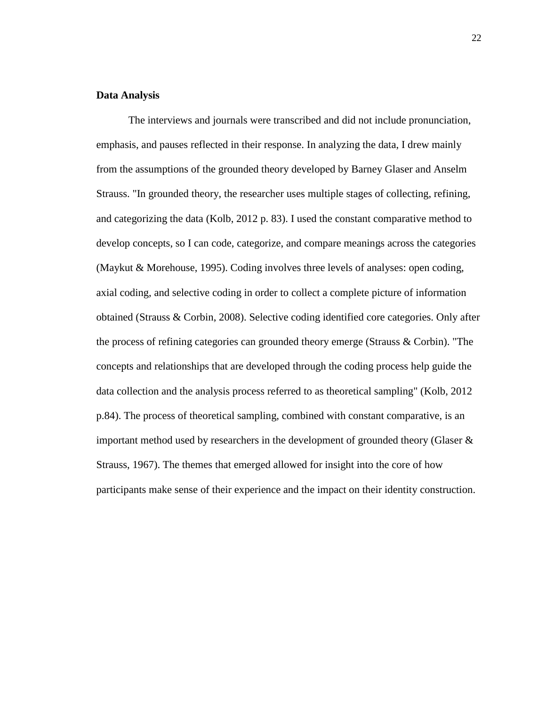# **Data Analysis**

The interviews and journals were transcribed and did not include pronunciation, emphasis, and pauses reflected in their response. In analyzing the data, I drew mainly from the assumptions of the grounded theory developed by Barney Glaser and Anselm Strauss. "In grounded theory, the researcher uses multiple stages of collecting, refining, and categorizing the data (Kolb, 2012 p. 83). I used the constant comparative method to develop concepts, so I can code, categorize, and compare meanings across the categories (Maykut & Morehouse, 1995). Coding involves three levels of analyses: open coding, axial coding, and selective coding in order to collect a complete picture of information obtained (Strauss & Corbin, 2008). Selective coding identified core categories. Only after the process of refining categories can grounded theory emerge (Strauss & Corbin). "The concepts and relationships that are developed through the coding process help guide the data collection and the analysis process referred to as theoretical sampling" (Kolb, 2012 p.84). The process of theoretical sampling, combined with constant comparative, is an important method used by researchers in the development of grounded theory (Glaser  $\&$ Strauss, 1967). The themes that emerged allowed for insight into the core of how participants make sense of their experience and the impact on their identity construction.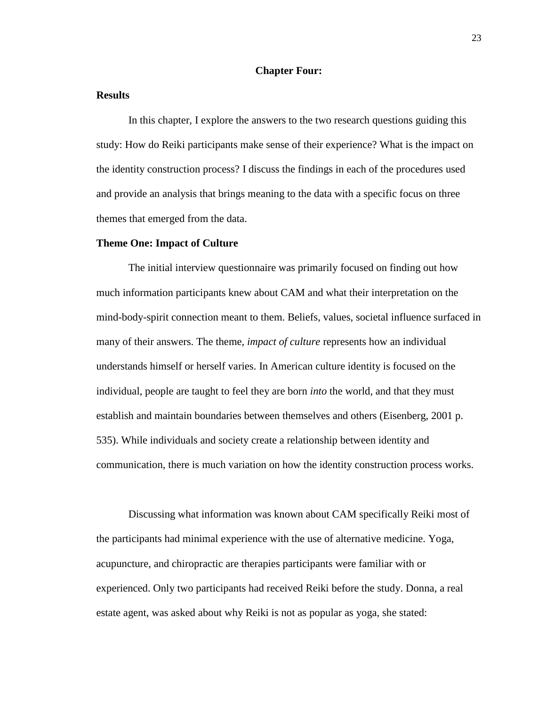# **Chapter Four:**

#### **Results**

In this chapter, I explore the answers to the two research questions guiding this study: How do Reiki participants make sense of their experience? What is the impact on the identity construction process? I discuss the findings in each of the procedures used and provide an analysis that brings meaning to the data with a specific focus on three themes that emerged from the data.

#### **Theme One: Impact of Culture**

The initial interview questionnaire was primarily focused on finding out how much information participants knew about CAM and what their interpretation on the mind-body-spirit connection meant to them. Beliefs, values, societal influence surfaced in many of their answers. The theme, *impact of culture* represents how an individual understands himself or herself varies. In American culture identity is focused on the individual, people are taught to feel they are born *into* the world, and that they must establish and maintain boundaries between themselves and others (Eisenberg, 2001 p. 535). While individuals and society create a relationship between identity and communication, there is much variation on how the identity construction process works.

Discussing what information was known about CAM specifically Reiki most of the participants had minimal experience with the use of alternative medicine. Yoga, acupuncture, and chiropractic are therapies participants were familiar with or experienced. Only two participants had received Reiki before the study. Donna, a real estate agent, was asked about why Reiki is not as popular as yoga, she stated: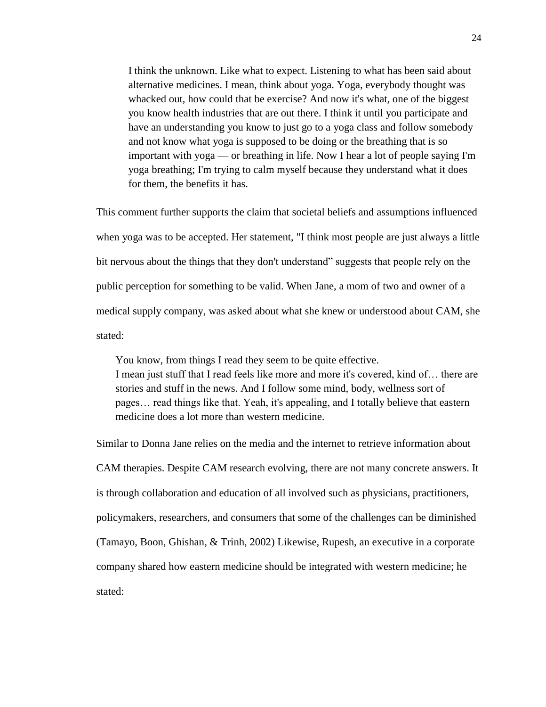I think the unknown. Like what to expect. Listening to what has been said about alternative medicines. I mean, think about yoga. Yoga, everybody thought was whacked out, how could that be exercise? And now it's what, one of the biggest you know health industries that are out there. I think it until you participate and have an understanding you know to just go to a yoga class and follow somebody and not know what yoga is supposed to be doing or the breathing that is so important with yoga — or breathing in life. Now I hear a lot of people saying I'm yoga breathing; I'm trying to calm myself because they understand what it does for them, the benefits it has.

This comment further supports the claim that societal beliefs and assumptions influenced when yoga was to be accepted. Her statement, "I think most people are just always a little bit nervous about the things that they don't understand" suggests that people rely on the public perception for something to be valid. When Jane, a mom of two and owner of a medical supply company, was asked about what she knew or understood about CAM, she stated:

You know, from things I read they seem to be quite effective. I mean just stuff that I read feels like more and more it's covered, kind of… there are stories and stuff in the news. And I follow some mind, body, wellness sort of pages… read things like that. Yeah, it's appealing, and I totally believe that eastern medicine does a lot more than western medicine.

Similar to Donna Jane relies on the media and the internet to retrieve information about CAM therapies. Despite CAM research evolving, there are not many concrete answers. It is through collaboration and education of all involved such as physicians, practitioners, policymakers, researchers, and consumers that some of the challenges can be diminished (Tamayo, Boon, Ghishan, & Trinh, 2002) Likewise, Rupesh, an executive in a corporate company shared how eastern medicine should be integrated with western medicine; he stated: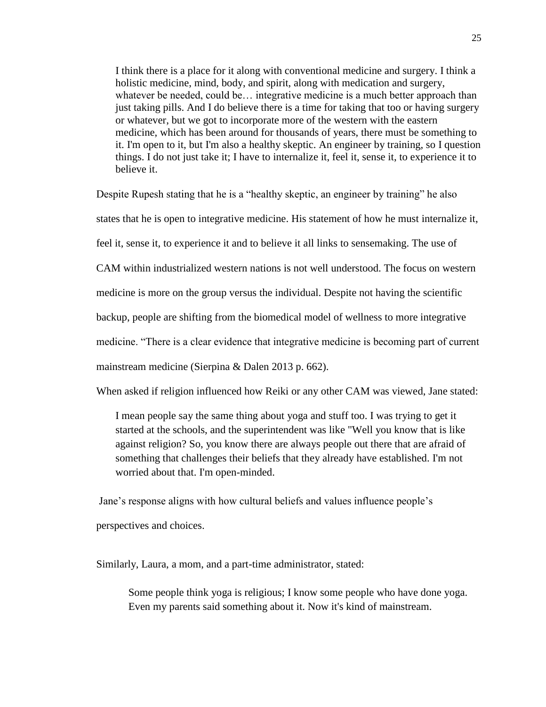I think there is a place for it along with conventional medicine and surgery. I think a holistic medicine, mind, body, and spirit, along with medication and surgery, whatever be needed, could be... integrative medicine is a much better approach than just taking pills. And I do believe there is a time for taking that too or having surgery or whatever, but we got to incorporate more of the western with the eastern medicine, which has been around for thousands of years, there must be something to it. I'm open to it, but I'm also a healthy skeptic. An engineer by training, so I question things. I do not just take it; I have to internalize it, feel it, sense it, to experience it to believe it.

Despite Rupesh stating that he is a "healthy skeptic, an engineer by training" he also

states that he is open to integrative medicine. His statement of how he must internalize it,

feel it, sense it, to experience it and to believe it all links to sensemaking. The use of

CAM within industrialized western nations is not well understood. The focus on western

medicine is more on the group versus the individual. Despite not having the scientific

backup, people are shifting from the biomedical model of wellness to more integrative

medicine. "There is a clear evidence that integrative medicine is becoming part of current

mainstream medicine (Sierpina & Dalen 2013 p. 662).

When asked if religion influenced how Reiki or any other CAM was viewed, Jane stated:

I mean people say the same thing about yoga and stuff too. I was trying to get it started at the schools, and the superintendent was like "Well you know that is like against religion? So, you know there are always people out there that are afraid of something that challenges their beliefs that they already have established. I'm not worried about that. I'm open-minded.

Jane's response aligns with how cultural beliefs and values influence people's

perspectives and choices.

Similarly, Laura, a mom, and a part-time administrator, stated:

Some people think yoga is religious; I know some people who have done yoga. Even my parents said something about it. Now it's kind of mainstream.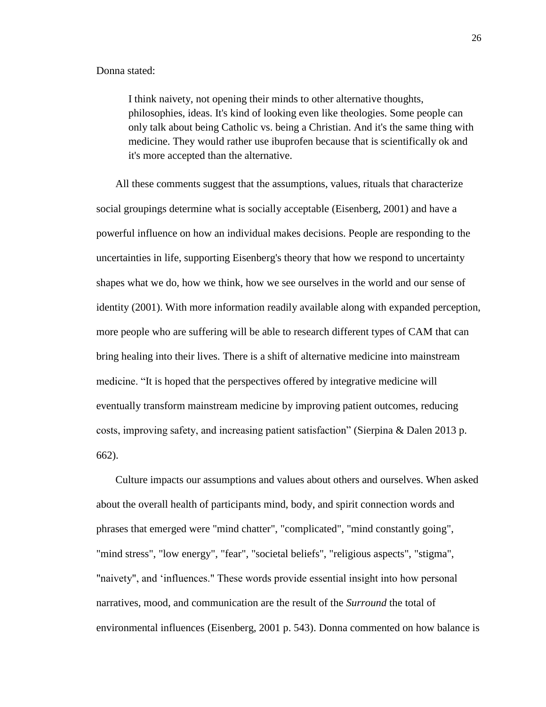#### Donna stated:

I think naivety, not opening their minds to other alternative thoughts, philosophies, ideas. It's kind of looking even like theologies. Some people can only talk about being Catholic vs. being a Christian. And it's the same thing with medicine. They would rather use ibuprofen because that is scientifically ok and it's more accepted than the alternative.

All these comments suggest that the assumptions, values, rituals that characterize social groupings determine what is socially acceptable (Eisenberg, 2001) and have a powerful influence on how an individual makes decisions. People are responding to the uncertainties in life, supporting Eisenberg's theory that how we respond to uncertainty shapes what we do, how we think, how we see ourselves in the world and our sense of identity (2001). With more information readily available along with expanded perception, more people who are suffering will be able to research different types of CAM that can bring healing into their lives. There is a shift of alternative medicine into mainstream medicine. "It is hoped that the perspectives offered by integrative medicine will eventually transform mainstream medicine by improving patient outcomes, reducing costs, improving safety, and increasing patient satisfaction" (Sierpina & Dalen 2013 p. 662).

Culture impacts our assumptions and values about others and ourselves. When asked about the overall health of participants mind, body, and spirit connection words and phrases that emerged were "mind chatter", "complicated", "mind constantly going", "mind stress", "low energy", "fear", "societal beliefs", "religious aspects", "stigma", "naivety", and 'influences." These words provide essential insight into how personal narratives, mood, and communication are the result of the *Surround* the total of environmental influences (Eisenberg, 2001 p. 543). Donna commented on how balance is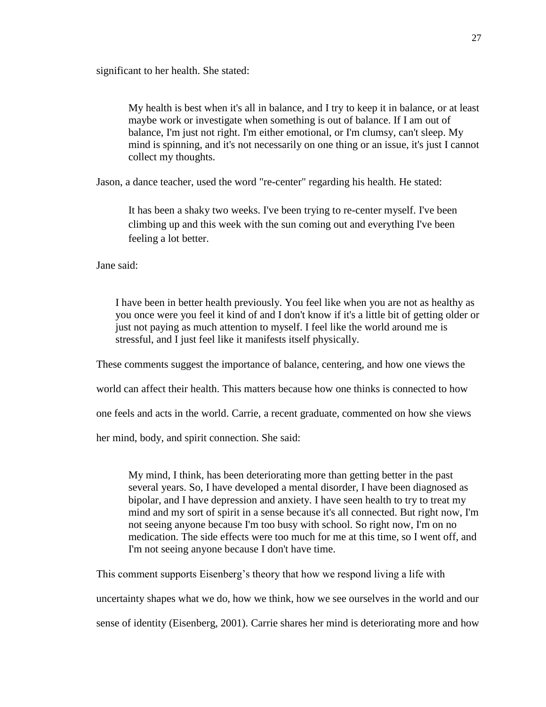significant to her health. She stated:

My health is best when it's all in balance, and I try to keep it in balance, or at least maybe work or investigate when something is out of balance. If I am out of balance, I'm just not right. I'm either emotional, or I'm clumsy, can't sleep. My mind is spinning, and it's not necessarily on one thing or an issue, it's just I cannot collect my thoughts.

Jason, a dance teacher, used the word "re-center" regarding his health. He stated:

It has been a shaky two weeks. I've been trying to re-center myself. I've been climbing up and this week with the sun coming out and everything I've been feeling a lot better.

Jane said:

I have been in better health previously. You feel like when you are not as healthy as you once were you feel it kind of and I don't know if it's a little bit of getting older or just not paying as much attention to myself. I feel like the world around me is stressful, and I just feel like it manifests itself physically.

These comments suggest the importance of balance, centering, and how one views the

world can affect their health. This matters because how one thinks is connected to how

one feels and acts in the world. Carrie, a recent graduate, commented on how she views

her mind, body, and spirit connection. She said:

My mind, I think, has been deteriorating more than getting better in the past several years. So, I have developed a mental disorder, I have been diagnosed as bipolar, and I have depression and anxiety. I have seen health to try to treat my mind and my sort of spirit in a sense because it's all connected. But right now, I'm not seeing anyone because I'm too busy with school. So right now, I'm on no medication. The side effects were too much for me at this time, so I went off, and I'm not seeing anyone because I don't have time.

This comment supports Eisenberg's theory that how we respond living a life with

uncertainty shapes what we do, how we think, how we see ourselves in the world and our

sense of identity (Eisenberg, 2001). Carrie shares her mind is deteriorating more and how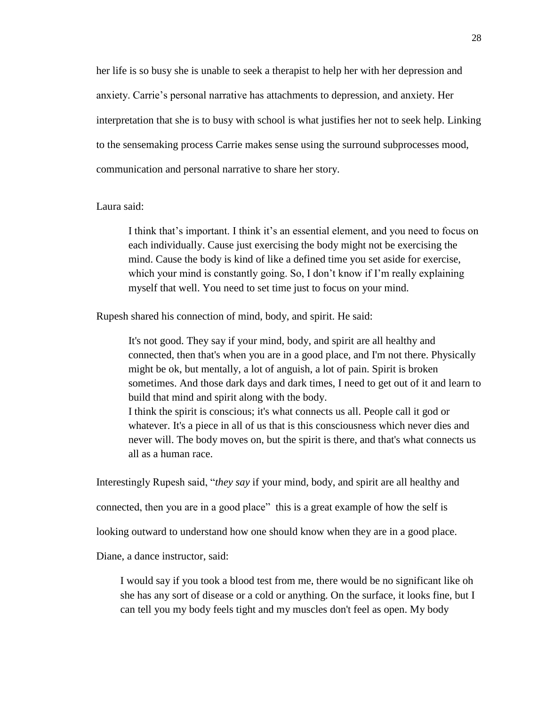her life is so busy she is unable to seek a therapist to help her with her depression and anxiety. Carrie's personal narrative has attachments to depression, and anxiety. Her interpretation that she is to busy with school is what justifies her not to seek help. Linking to the sensemaking process Carrie makes sense using the surround subprocesses mood, communication and personal narrative to share her story.

# Laura said:

I think that's important. I think it's an essential element, and you need to focus on each individually. Cause just exercising the body might not be exercising the mind. Cause the body is kind of like a defined time you set aside for exercise, which your mind is constantly going. So, I don't know if I'm really explaining myself that well. You need to set time just to focus on your mind.

Rupesh shared his connection of mind, body, and spirit. He said:

It's not good. They say if your mind, body, and spirit are all healthy and connected, then that's when you are in a good place, and I'm not there. Physically might be ok, but mentally, a lot of anguish, a lot of pain. Spirit is broken sometimes. And those dark days and dark times, I need to get out of it and learn to build that mind and spirit along with the body. I think the spirit is conscious; it's what connects us all. People call it god or whatever. It's a piece in all of us that is this consciousness which never dies and never will. The body moves on, but the spirit is there, and that's what connects us all as a human race.

Interestingly Rupesh said, "*they say* if your mind, body, and spirit are all healthy and

connected, then you are in a good place" this is a great example of how the self is

looking outward to understand how one should know when they are in a good place.

Diane, a dance instructor, said:

I would say if you took a blood test from me, there would be no significant like oh she has any sort of disease or a cold or anything. On the surface, it looks fine, but I can tell you my body feels tight and my muscles don't feel as open. My body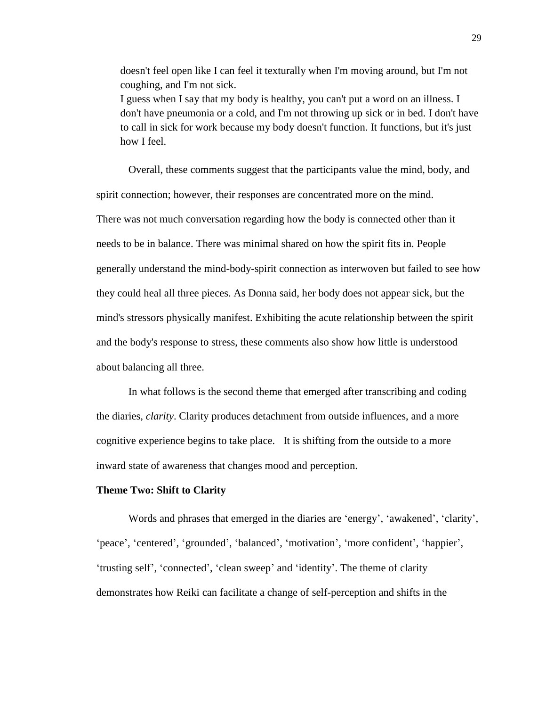doesn't feel open like I can feel it texturally when I'm moving around, but I'm not coughing, and I'm not sick. I guess when I say that my body is healthy, you can't put a word on an illness. I don't have pneumonia or a cold, and I'm not throwing up sick or in bed. I don't have to call in sick for work because my body doesn't function. It functions, but it's just how I feel.

Overall, these comments suggest that the participants value the mind, body, and spirit connection; however, their responses are concentrated more on the mind. There was not much conversation regarding how the body is connected other than it needs to be in balance. There was minimal shared on how the spirit fits in. People generally understand the mind-body-spirit connection as interwoven but failed to see how they could heal all three pieces. As Donna said, her body does not appear sick, but the mind's stressors physically manifest. Exhibiting the acute relationship between the spirit and the body's response to stress, these comments also show how little is understood about balancing all three.

In what follows is the second theme that emerged after transcribing and coding the diaries, *clarity*. Clarity produces detachment from outside influences, and a more cognitive experience begins to take place. It is shifting from the outside to a more inward state of awareness that changes mood and perception.

#### **Theme Two: Shift to Clarity**

Words and phrases that emerged in the diaries are 'energy', 'awakened', 'clarity', 'peace', 'centered', 'grounded', 'balanced', 'motivation', 'more confident', 'happier', 'trusting self', 'connected', 'clean sweep' and 'identity'. The theme of clarity demonstrates how Reiki can facilitate a change of self-perception and shifts in the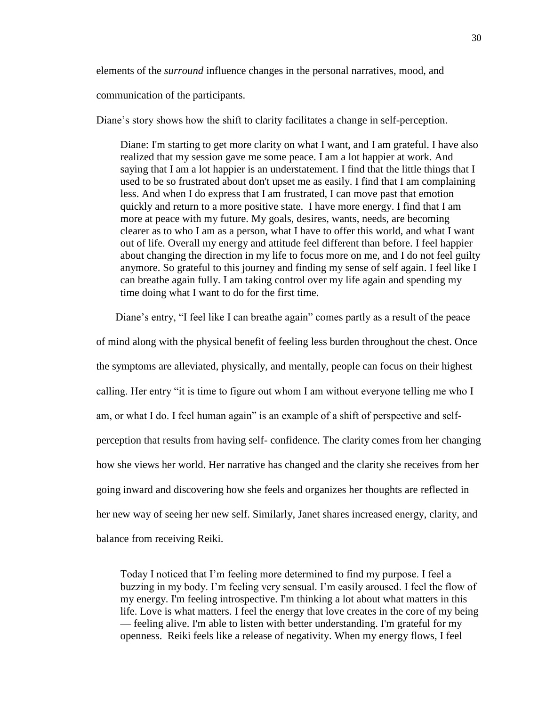elements of the *surround* influence changes in the personal narratives, mood, and

communication of the participants.

Diane's story shows how the shift to clarity facilitates a change in self-perception.

Diane: I'm starting to get more clarity on what I want, and I am grateful. I have also realized that my session gave me some peace. I am a lot happier at work. And saying that I am a lot happier is an understatement. I find that the little things that I used to be so frustrated about don't upset me as easily. I find that I am complaining less. And when I do express that I am frustrated, I can move past that emotion quickly and return to a more positive state. I have more energy. I find that I am more at peace with my future. My goals, desires, wants, needs, are becoming clearer as to who I am as a person, what I have to offer this world, and what I want out of life. Overall my energy and attitude feel different than before. I feel happier about changing the direction in my life to focus more on me, and I do not feel guilty anymore. So grateful to this journey and finding my sense of self again. I feel like I can breathe again fully. I am taking control over my life again and spending my time doing what I want to do for the first time.

Diane's entry, "I feel like I can breathe again" comes partly as a result of the peace

of mind along with the physical benefit of feeling less burden throughout the chest. Once the symptoms are alleviated, physically, and mentally, people can focus on their highest calling. Her entry "it is time to figure out whom I am without everyone telling me who I am, or what I do. I feel human again" is an example of a shift of perspective and selfperception that results from having self- confidence. The clarity comes from her changing how she views her world. Her narrative has changed and the clarity she receives from her going inward and discovering how she feels and organizes her thoughts are reflected in her new way of seeing her new self. Similarly, Janet shares increased energy, clarity, and balance from receiving Reiki.

Today I noticed that I'm feeling more determined to find my purpose. I feel a buzzing in my body. I'm feeling very sensual. I'm easily aroused. I feel the flow of my energy. I'm feeling introspective. I'm thinking a lot about what matters in this life. Love is what matters. I feel the energy that love creates in the core of my being — feeling alive. I'm able to listen with better understanding. I'm grateful for my openness. Reiki feels like a release of negativity. When my energy flows, I feel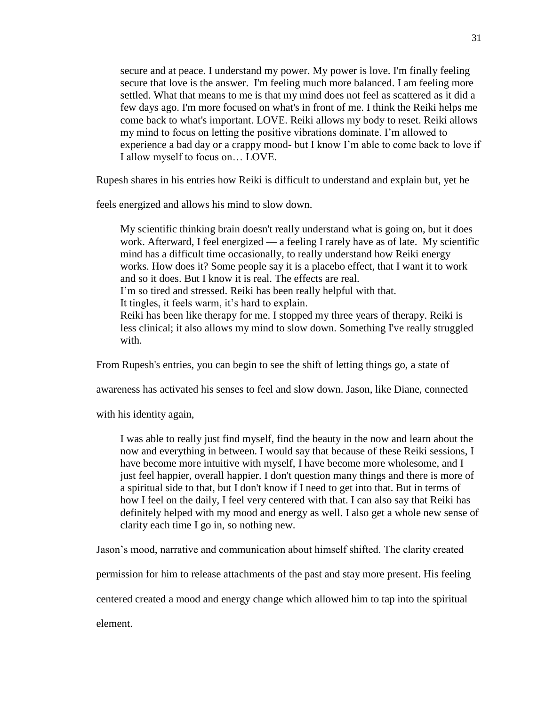secure and at peace. I understand my power. My power is love. I'm finally feeling secure that love is the answer. I'm feeling much more balanced. I am feeling more settled. What that means to me is that my mind does not feel as scattered as it did a few days ago. I'm more focused on what's in front of me. I think the Reiki helps me come back to what's important. LOVE. Reiki allows my body to reset. Reiki allows my mind to focus on letting the positive vibrations dominate. I'm allowed to experience a bad day or a crappy mood- but I know I'm able to come back to love if I allow myself to focus on… LOVE.

Rupesh shares in his entries how Reiki is difficult to understand and explain but, yet he

feels energized and allows his mind to slow down.

My scientific thinking brain doesn't really understand what is going on, but it does work. Afterward, I feel energized — a feeling I rarely have as of late. My scientific mind has a difficult time occasionally, to really understand how Reiki energy works. How does it? Some people say it is a placebo effect, that I want it to work and so it does. But I know it is real. The effects are real. I'm so tired and stressed. Reiki has been really helpful with that.

It tingles, it feels warm, it's hard to explain.

Reiki has been like therapy for me. I stopped my three years of therapy. Reiki is less clinical; it also allows my mind to slow down. Something I've really struggled with.

From Rupesh's entries, you can begin to see the shift of letting things go, a state of

awareness has activated his senses to feel and slow down. Jason, like Diane, connected

with his identity again,

I was able to really just find myself, find the beauty in the now and learn about the now and everything in between. I would say that because of these Reiki sessions, I have become more intuitive with myself, I have become more wholesome, and I just feel happier, overall happier. I don't question many things and there is more of a spiritual side to that, but I don't know if I need to get into that. But in terms of how I feel on the daily, I feel very centered with that. I can also say that Reiki has definitely helped with my mood and energy as well. I also get a whole new sense of clarity each time I go in, so nothing new.

Jason's mood, narrative and communication about himself shifted. The clarity created

permission for him to release attachments of the past and stay more present. His feeling

centered created a mood and energy change which allowed him to tap into the spiritual

element.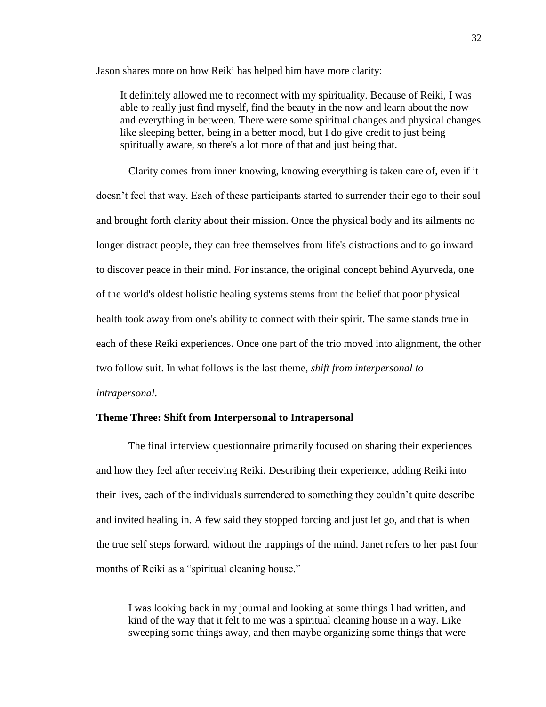Jason shares more on how Reiki has helped him have more clarity:

It definitely allowed me to reconnect with my spirituality. Because of Reiki, I was able to really just find myself, find the beauty in the now and learn about the now and everything in between. There were some spiritual changes and physical changes like sleeping better, being in a better mood, but I do give credit to just being spiritually aware, so there's a lot more of that and just being that.

Clarity comes from inner knowing, knowing everything is taken care of, even if it doesn't feel that way. Each of these participants started to surrender their ego to their soul and brought forth clarity about their mission. Once the physical body and its ailments no longer distract people, they can free themselves from life's distractions and to go inward to discover peace in their mind. For instance, the original concept behind Ayurveda, one of the world's oldest holistic healing systems stems from the belief that poor physical health took away from one's ability to connect with their spirit. The same stands true in each of these Reiki experiences. Once one part of the trio moved into alignment, the other two follow suit. In what follows is the last theme, *shift from interpersonal to intrapersonal*.

# **Theme Three: Shift from Interpersonal to Intrapersonal**

The final interview questionnaire primarily focused on sharing their experiences and how they feel after receiving Reiki. Describing their experience, adding Reiki into their lives, each of the individuals surrendered to something they couldn't quite describe and invited healing in. A few said they stopped forcing and just let go, and that is when the true self steps forward, without the trappings of the mind. Janet refers to her past four months of Reiki as a "spiritual cleaning house."

I was looking back in my journal and looking at some things I had written, and kind of the way that it felt to me was a spiritual cleaning house in a way. Like sweeping some things away, and then maybe organizing some things that were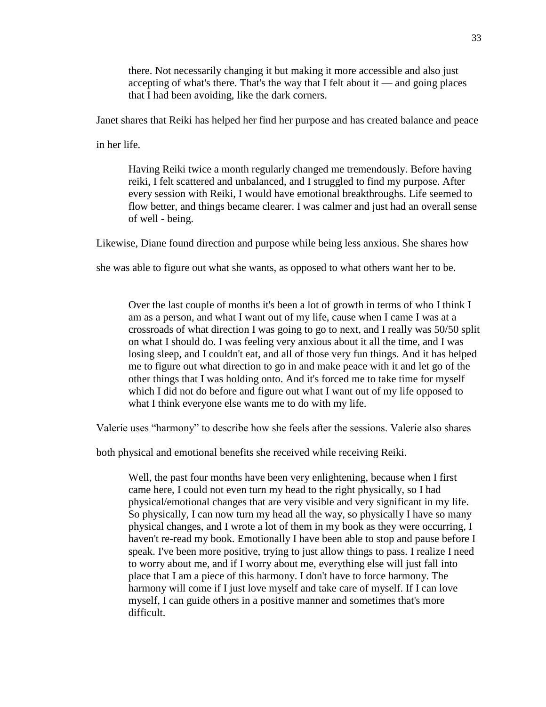there. Not necessarily changing it but making it more accessible and also just accepting of what's there. That's the way that I felt about it — and going places that I had been avoiding, like the dark corners.

Janet shares that Reiki has helped her find her purpose and has created balance and peace

in her life.

Having Reiki twice a month regularly changed me tremendously. Before having reiki, I felt scattered and unbalanced, and I struggled to find my purpose. After every session with Reiki, I would have emotional breakthroughs. Life seemed to flow better, and things became clearer. I was calmer and just had an overall sense of well - being.

Likewise, Diane found direction and purpose while being less anxious. She shares how

she was able to figure out what she wants, as opposed to what others want her to be.

Over the last couple of months it's been a lot of growth in terms of who I think I am as a person, and what I want out of my life, cause when I came I was at a crossroads of what direction I was going to go to next, and I really was 50/50 split on what I should do. I was feeling very anxious about it all the time, and I was losing sleep, and I couldn't eat, and all of those very fun things. And it has helped me to figure out what direction to go in and make peace with it and let go of the other things that I was holding onto. And it's forced me to take time for myself which I did not do before and figure out what I want out of my life opposed to what I think everyone else wants me to do with my life.

Valerie uses "harmony" to describe how she feels after the sessions. Valerie also shares

both physical and emotional benefits she received while receiving Reiki.

Well, the past four months have been very enlightening, because when I first came here, I could not even turn my head to the right physically, so I had physical/emotional changes that are very visible and very significant in my life. So physically, I can now turn my head all the way, so physically I have so many physical changes, and I wrote a lot of them in my book as they were occurring, I haven't re-read my book. Emotionally I have been able to stop and pause before I speak. I've been more positive, trying to just allow things to pass. I realize I need to worry about me, and if I worry about me, everything else will just fall into place that I am a piece of this harmony. I don't have to force harmony. The harmony will come if I just love myself and take care of myself. If I can love myself, I can guide others in a positive manner and sometimes that's more difficult.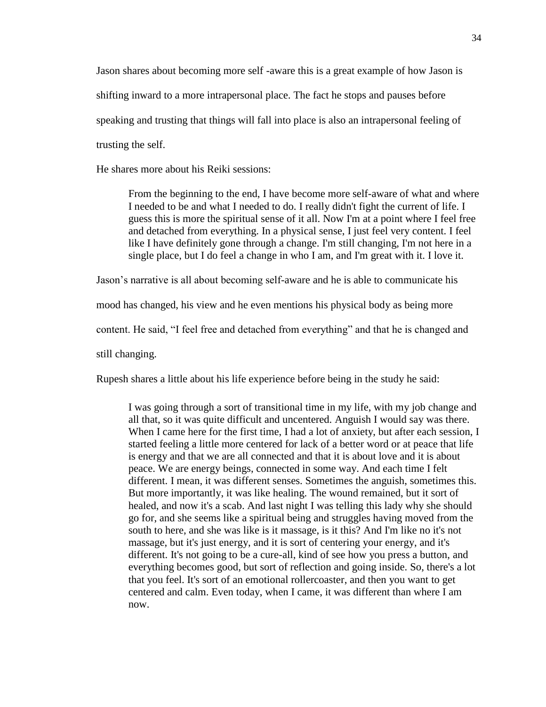Jason shares about becoming more self -aware this is a great example of how Jason is shifting inward to a more intrapersonal place. The fact he stops and pauses before speaking and trusting that things will fall into place is also an intrapersonal feeling of trusting the self.

He shares more about his Reiki sessions:

From the beginning to the end, I have become more self-aware of what and where I needed to be and what I needed to do. I really didn't fight the current of life. I guess this is more the spiritual sense of it all. Now I'm at a point where I feel free and detached from everything. In a physical sense, I just feel very content. I feel like I have definitely gone through a change. I'm still changing, I'm not here in a single place, but I do feel a change in who I am, and I'm great with it. I love it.

Jason's narrative is all about becoming self-aware and he is able to communicate his

mood has changed, his view and he even mentions his physical body as being more

content. He said, "I feel free and detached from everything" and that he is changed and

still changing.

Rupesh shares a little about his life experience before being in the study he said:

I was going through a sort of transitional time in my life, with my job change and all that, so it was quite difficult and uncentered. Anguish I would say was there. When I came here for the first time, I had a lot of anxiety, but after each session, I started feeling a little more centered for lack of a better word or at peace that life is energy and that we are all connected and that it is about love and it is about peace. We are energy beings, connected in some way. And each time I felt different. I mean, it was different senses. Sometimes the anguish, sometimes this. But more importantly, it was like healing. The wound remained, but it sort of healed, and now it's a scab. And last night I was telling this lady why she should go for, and she seems like a spiritual being and struggles having moved from the south to here, and she was like is it massage, is it this? And I'm like no it's not massage, but it's just energy, and it is sort of centering your energy, and it's different. It's not going to be a cure-all, kind of see how you press a button, and everything becomes good, but sort of reflection and going inside. So, there's a lot that you feel. It's sort of an emotional rollercoaster, and then you want to get centered and calm. Even today, when I came, it was different than where I am now.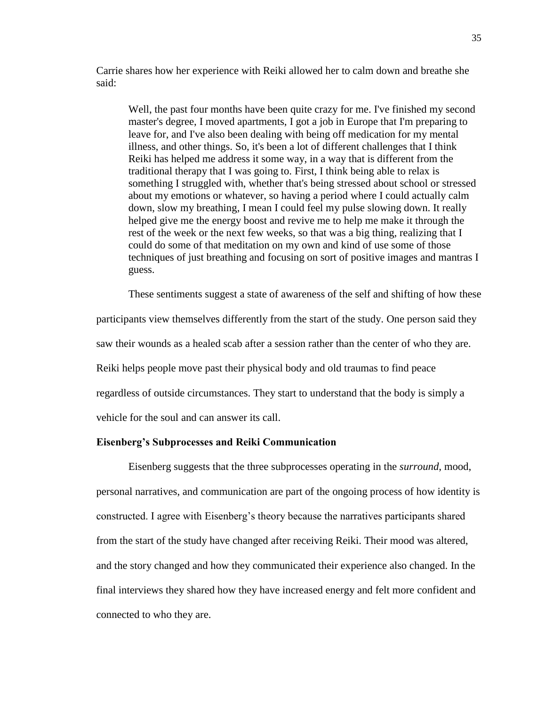Carrie shares how her experience with Reiki allowed her to calm down and breathe she said:

Well, the past four months have been quite crazy for me. I've finished my second master's degree, I moved apartments, I got a job in Europe that I'm preparing to leave for, and I've also been dealing with being off medication for my mental illness, and other things. So, it's been a lot of different challenges that I think Reiki has helped me address it some way, in a way that is different from the traditional therapy that I was going to. First, I think being able to relax is something I struggled with, whether that's being stressed about school or stressed about my emotions or whatever, so having a period where I could actually calm down, slow my breathing, I mean I could feel my pulse slowing down. It really helped give me the energy boost and revive me to help me make it through the rest of the week or the next few weeks, so that was a big thing, realizing that I could do some of that meditation on my own and kind of use some of those techniques of just breathing and focusing on sort of positive images and mantras I guess.

These sentiments suggest a state of awareness of the self and shifting of how these participants view themselves differently from the start of the study. One person said they saw their wounds as a healed scab after a session rather than the center of who they are. Reiki helps people move past their physical body and old traumas to find peace regardless of outside circumstances. They start to understand that the body is simply a vehicle for the soul and can answer its call.

# **Eisenberg's Subprocesses and Reiki Communication**

Eisenberg suggests that the three subprocesses operating in the *surround*, mood, personal narratives, and communication are part of the ongoing process of how identity is constructed. I agree with Eisenberg's theory because the narratives participants shared from the start of the study have changed after receiving Reiki. Their mood was altered, and the story changed and how they communicated their experience also changed. In the final interviews they shared how they have increased energy and felt more confident and connected to who they are.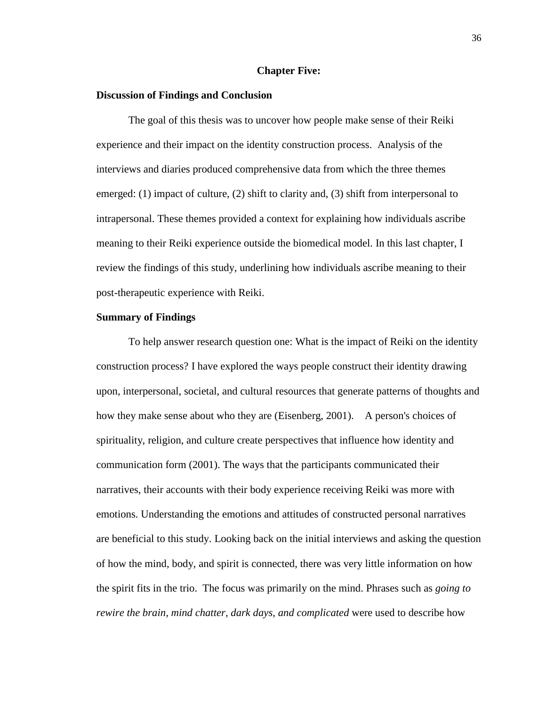# **Chapter Five:**

#### **Discussion of Findings and Conclusion**

The goal of this thesis was to uncover how people make sense of their Reiki experience and their impact on the identity construction process. Analysis of the interviews and diaries produced comprehensive data from which the three themes emerged: (1) impact of culture, (2) shift to clarity and, (3) shift from interpersonal to intrapersonal. These themes provided a context for explaining how individuals ascribe meaning to their Reiki experience outside the biomedical model. In this last chapter, I review the findings of this study, underlining how individuals ascribe meaning to their post-therapeutic experience with Reiki.

#### **Summary of Findings**

To help answer research question one: What is the impact of Reiki on the identity construction process? I have explored the ways people construct their identity drawing upon, interpersonal, societal, and cultural resources that generate patterns of thoughts and how they make sense about who they are (Eisenberg, 2001). A person's choices of spirituality, religion, and culture create perspectives that influence how identity and communication form (2001). The ways that the participants communicated their narratives, their accounts with their body experience receiving Reiki was more with emotions. Understanding the emotions and attitudes of constructed personal narratives are beneficial to this study. Looking back on the initial interviews and asking the question of how the mind, body, and spirit is connected, there was very little information on how the spirit fits in the trio. The focus was primarily on the mind. Phrases such as *going to rewire the brain, mind chatter, dark days, and complicated* were used to describe how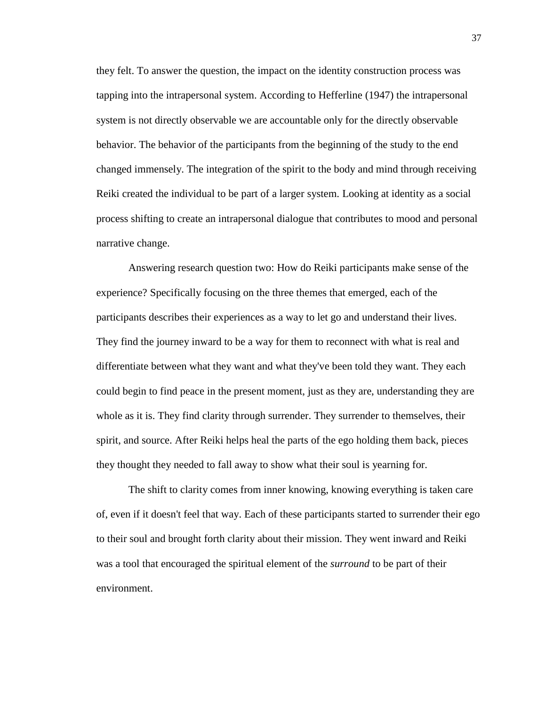they felt. To answer the question, the impact on the identity construction process was tapping into the intrapersonal system. According to Hefferline (1947) the intrapersonal system is not directly observable we are accountable only for the directly observable behavior. The behavior of the participants from the beginning of the study to the end changed immensely. The integration of the spirit to the body and mind through receiving Reiki created the individual to be part of a larger system. Looking at identity as a social process shifting to create an intrapersonal dialogue that contributes to mood and personal narrative change.

Answering research question two: How do Reiki participants make sense of the experience? Specifically focusing on the three themes that emerged, each of the participants describes their experiences as a way to let go and understand their lives. They find the journey inward to be a way for them to reconnect with what is real and differentiate between what they want and what they've been told they want. They each could begin to find peace in the present moment, just as they are, understanding they are whole as it is. They find clarity through surrender. They surrender to themselves, their spirit, and source. After Reiki helps heal the parts of the ego holding them back, pieces they thought they needed to fall away to show what their soul is yearning for.

The shift to clarity comes from inner knowing, knowing everything is taken care of, even if it doesn't feel that way. Each of these participants started to surrender their ego to their soul and brought forth clarity about their mission. They went inward and Reiki was a tool that encouraged the spiritual element of the *surround* to be part of their environment.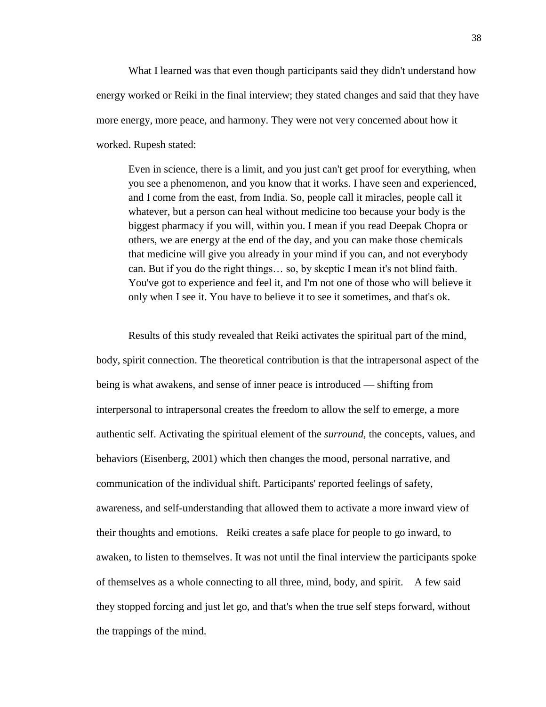What I learned was that even though participants said they didn't understand how energy worked or Reiki in the final interview; they stated changes and said that they have more energy, more peace, and harmony. They were not very concerned about how it worked. Rupesh stated:

Even in science, there is a limit, and you just can't get proof for everything, when you see a phenomenon, and you know that it works. I have seen and experienced, and I come from the east, from India. So, people call it miracles, people call it whatever, but a person can heal without medicine too because your body is the biggest pharmacy if you will, within you. I mean if you read Deepak Chopra or others, we are energy at the end of the day, and you can make those chemicals that medicine will give you already in your mind if you can, and not everybody can. But if you do the right things… so, by skeptic I mean it's not blind faith. You've got to experience and feel it, and I'm not one of those who will believe it only when I see it. You have to believe it to see it sometimes, and that's ok.

Results of this study revealed that Reiki activates the spiritual part of the mind, body, spirit connection. The theoretical contribution is that the intrapersonal aspect of the being is what awakens, and sense of inner peace is introduced — shifting from interpersonal to intrapersonal creates the freedom to allow the self to emerge, a more authentic self. Activating the spiritual element of the *surround,* the concepts, values, and behaviors (Eisenberg, 2001) which then changes the mood, personal narrative, and communication of the individual shift. Participants' reported feelings of safety, awareness, and self-understanding that allowed them to activate a more inward view of their thoughts and emotions. Reiki creates a safe place for people to go inward, to awaken, to listen to themselves. It was not until the final interview the participants spoke of themselves as a whole connecting to all three, mind, body, and spirit. A few said they stopped forcing and just let go, and that's when the true self steps forward, without the trappings of the mind.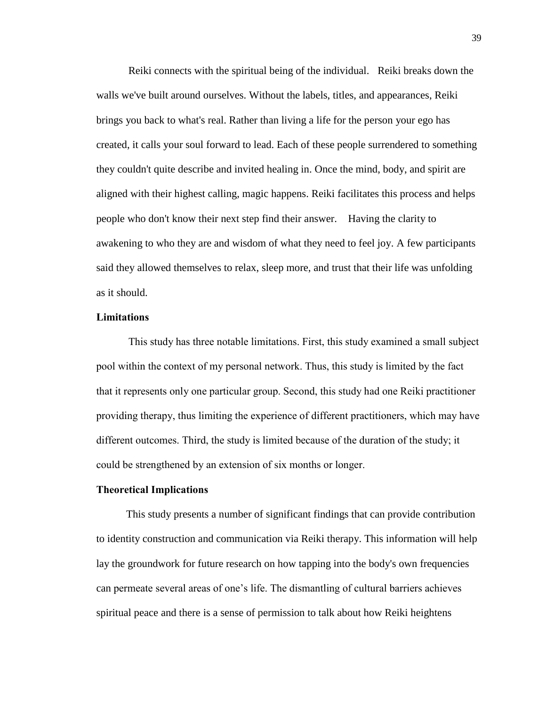Reiki connects with the spiritual being of the individual. Reiki breaks down the walls we've built around ourselves. Without the labels, titles, and appearances, Reiki brings you back to what's real. Rather than living a life for the person your ego has created, it calls your soul forward to lead. Each of these people surrendered to something they couldn't quite describe and invited healing in. Once the mind, body, and spirit are aligned with their highest calling, magic happens. Reiki facilitates this process and helps people who don't know their next step find their answer. Having the clarity to awakening to who they are and wisdom of what they need to feel joy. A few participants said they allowed themselves to relax, sleep more, and trust that their life was unfolding as it should.

#### **Limitations**

This study has three notable limitations. First, this study examined a small subject pool within the context of my personal network. Thus, this study is limited by the fact that it represents only one particular group. Second, this study had one Reiki practitioner providing therapy, thus limiting the experience of different practitioners, which may have different outcomes. Third, the study is limited because of the duration of the study; it could be strengthened by an extension of six months or longer.

#### **Theoretical Implications**

 This study presents a number of significant findings that can provide contribution to identity construction and communication via Reiki therapy. This information will help lay the groundwork for future research on how tapping into the body's own frequencies can permeate several areas of one's life. The dismantling of cultural barriers achieves spiritual peace and there is a sense of permission to talk about how Reiki heightens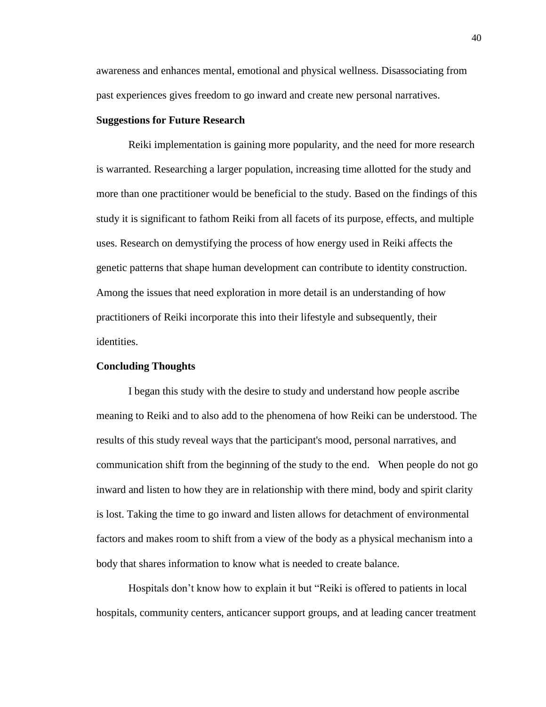awareness and enhances mental, emotional and physical wellness. Disassociating from past experiences gives freedom to go inward and create new personal narratives.

# **Suggestions for Future Research**

Reiki implementation is gaining more popularity, and the need for more research is warranted. Researching a larger population, increasing time allotted for the study and more than one practitioner would be beneficial to the study. Based on the findings of this study it is significant to fathom Reiki from all facets of its purpose, effects, and multiple uses. Research on demystifying the process of how energy used in Reiki affects the genetic patterns that shape human development can contribute to identity construction. Among the issues that need exploration in more detail is an understanding of how practitioners of Reiki incorporate this into their lifestyle and subsequently, their identities.

# **Concluding Thoughts**

I began this study with the desire to study and understand how people ascribe meaning to Reiki and to also add to the phenomena of how Reiki can be understood. The results of this study reveal ways that the participant's mood, personal narratives, and communication shift from the beginning of the study to the end. When people do not go inward and listen to how they are in relationship with there mind, body and spirit clarity is lost. Taking the time to go inward and listen allows for detachment of environmental factors and makes room to shift from a view of the body as a physical mechanism into a body that shares information to know what is needed to create balance.

Hospitals don't know how to explain it but "Reiki is offered to patients in local hospitals, community centers, anticancer support groups, and at leading cancer treatment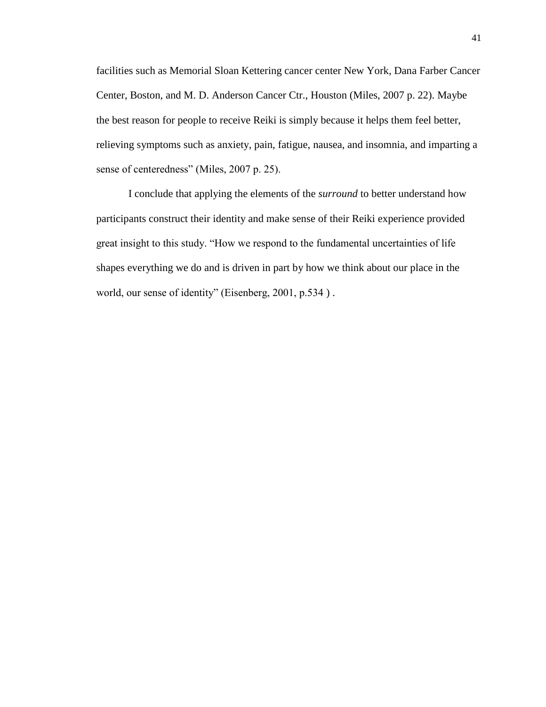facilities such as Memorial Sloan Kettering cancer center New York, Dana Farber Cancer Center, Boston, and M. D. Anderson Cancer Ctr., Houston (Miles, 2007 p. 22). Maybe the best reason for people to receive Reiki is simply because it helps them feel better, relieving symptoms such as anxiety, pain, fatigue, nausea, and insomnia, and imparting a sense of centeredness" (Miles, 2007 p. 25).

I conclude that applying the elements of the *surround* to better understand how participants construct their identity and make sense of their Reiki experience provided great insight to this study. "How we respond to the fundamental uncertainties of life shapes everything we do and is driven in part by how we think about our place in the world, our sense of identity" (Eisenberg, 2001, p.534 ) .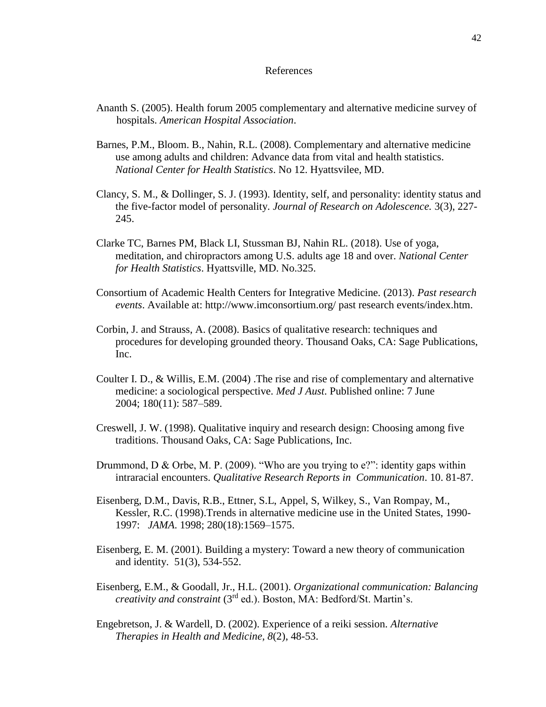#### References

- Ananth S. (2005). Health forum 2005 complementary and alternative medicine survey of hospitals. *American Hospital Association*.
- Barnes, P.M., Bloom. B., Nahin, R.L. (2008). Complementary and alternative medicine use among adults and children: Advance data from vital and health statistics. *National Center for Health Statistics*. No 12. Hyattsvilee, MD.
- Clancy, S. M., & Dollinger, S. J. (1993). Identity, self, and personality: identity status and the five-factor model of personality. *Journal of Research on Adolescence.* 3(3), 227- 245.
- Clarke TC, Barnes PM, Black LI, Stussman BJ, Nahin RL. (2018). Use of yoga, meditation, and chiropractors among U.S. adults age 18 and over. *National Center for Health Statistics*. Hyattsville, MD. No.325.
- Consortium of Academic Health Centers for Integrative Medicine. (2013). *Past research events*. Available at: http://www.imconsortium.org/ past research events/index.htm.
- Corbin, J. and Strauss, A. (2008). Basics of qualitative research: techniques and procedures for developing grounded theory. Thousand Oaks, CA: Sage Publications, Inc.
- Coulter I. D., & Willis, E.M. (2004) .The rise and rise of complementary and alternative medicine: a sociological perspective. *Med J Aust*. Published online: 7 June 2004; 180(11): 587–589.
- Creswell, J. W. (1998). Qualitative inquiry and research design: Choosing among five traditions. Thousand Oaks, CA: Sage Publications, Inc.
- Drummond, D & Orbe, M. P. (2009). "Who are you trying to e?": identity gaps within intraracial encounters. *Qualitative Research Reports in Communication*. 10. 81-87.
- Eisenberg, D.M., Davis, R.B., Ettner, S.L, Appel, S, Wilkey, S., Van Rompay, M., Kessler, R.C. (1998).Trends in alternative medicine use in the United States, 1990- 1997: *JAMA*. 1998; 280(18):1569–1575.
- Eisenberg, E. M. (2001). Building a mystery: Toward a new theory of communication and identity. 51(3), 534-552.
- Eisenberg, E.M., & Goodall, Jr., H.L. (2001). *Organizational communication: Balancing creativity and constraint* (3rd ed.). Boston, MA: Bedford/St. Martin's.
- Engebretson, J. & Wardell, D. (2002). Experience of a reiki session. *Alternative Therapies in Health and Medicine, 8*(2), 48-53.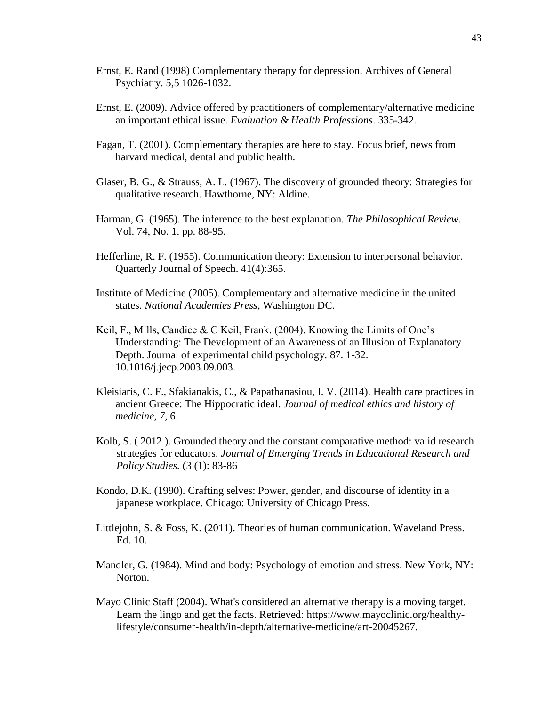- Ernst, E. Rand (1998) Complementary therapy for depression. Archives of General Psychiatry. 5,5 1026-1032.
- Ernst, E. (2009). Advice offered by practitioners of complementary/alternative medicine an important ethical issue. *Evaluation & Health Professions*. 335-342.
- Fagan, T. (2001). Complementary therapies are here to stay. Focus brief, news from harvard medical, dental and public health.
- Glaser, B. G., & Strauss, A. L. (1967). The discovery of grounded theory: Strategies for qualitative research. Hawthorne, NY: Aldine.
- Harman, G. (1965). The inference to the best explanation. *The Philosophical Review*. Vol. 74, No. 1. pp. 88-95.
- Hefferline, R. F. (1955). Communication theory: Extension to interpersonal behavior. Quarterly Journal of Speech. 41(4):365.
- Institute of Medicine (2005). Complementary and alternative medicine in the united states. *National Academies Press*, Washington DC.
- Keil, F., Mills, Candice & C Keil, Frank. (2004). Knowing the Limits of One's Understanding: The Development of an Awareness of an Illusion of Explanatory Depth. Journal of experimental child psychology. 87. 1-32. 10.1016/j.jecp.2003.09.003.
- Kleisiaris, C. F., Sfakianakis, C., & Papathanasiou, I. V. (2014). Health care practices in ancient Greece: The Hippocratic ideal. *Journal of medical ethics and history of medicine*, *7*, 6.
- Kolb, S. ( 2012 ). Grounded theory and the constant comparative method: valid research strategies for educators. *Journal of Emerging Trends in Educational Research and Policy Studies.* (3 (1): 83-86
- Kondo, D.K. (1990). Crafting selves: Power, gender, and discourse of identity in a japanese workplace. Chicago: University of Chicago Press.
- Littlejohn, S. & Foss, K. (2011). Theories of human communication. Waveland Press. Ed. 10.
- Mandler, G. (1984). Mind and body: Psychology of emotion and stress. New York, NY: Norton.
- Mayo Clinic Staff (2004). What's considered an alternative therapy is a moving target. Learn the lingo and get the facts. Retrieved: [https://www.mayoclinic.org/healthy](https://www.mayoclinic.org/healthy-lifestyle/consumer-health/in-depth/alternative-medicine/art-20045267)[lifestyle/consumer-health/in-depth/alternative-medicine/art-20045267.](https://www.mayoclinic.org/healthy-lifestyle/consumer-health/in-depth/alternative-medicine/art-20045267)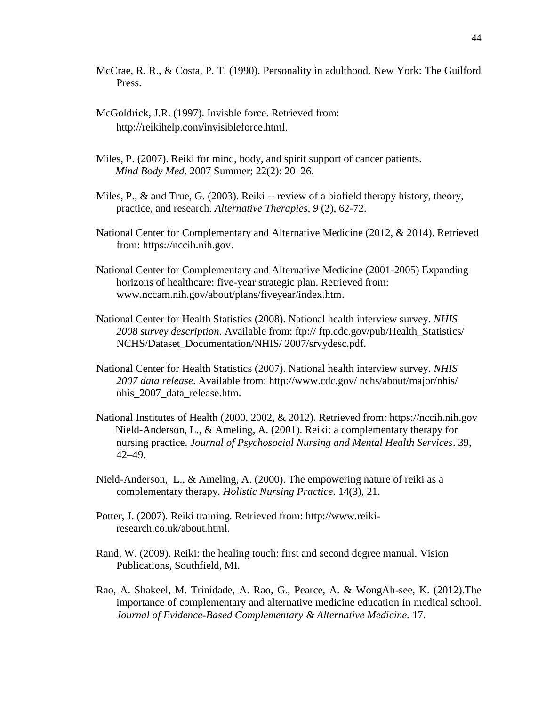- McCrae, R. R., & Costa, P. T. (1990). Personality in adulthood. New York: The Guilford Press.
- McGoldrick, J.R. (1997). Invisble force. Retrieved from: [http://reikihelp.com/invisibleforce.html.](http://reikihelp.com/invisibleforce.html)
- Miles, P. (2007). Reiki for mind, body, and spirit support of cancer patients. *Mind Body Med*. 2007 Summer; 22(2): 20–26.
- Miles, P., & and True, G. (2003). Reiki -- review of a biofield therapy history, theory, practice, and research. *Alternative Therapies, 9* (2), 62-72.
- National Center for Complementary and Alternative Medicine (2012, & 2014). Retrieved from: [https://nccih.nih.gov.](https://nccih.nih.gov/)
- National Center for Complementary and Alternative Medicine (2001-2005) Expanding horizons of healthcare: five-year strategic plan. Retrieved from: [www.nccam.nih.gov/about/plans/fiveyear/index.htm.](http://www.nccam.nih.gov/about/plans/fiveyear/index.htm)
- National Center for Health Statistics (2008). National health interview survey. *NHIS 2008 survey description*. Available from: ftp:// ftp.cdc.gov/pub/Health\_Statistics/ NCHS/Dataset\_Documentation/NHIS/ 2007/srvydesc.pdf.
- National Center for Health Statistics (2007). National health interview survey. *NHIS 2007 data release*. Available from: http://www.cdc.gov/ nchs/about/major/nhis/ nhis\_2007\_data\_release.htm.
- National Institutes of Health (2000, 2002, & 2012). Retrieved from: [https://nccih.nih.gov](https://nccih.nih.gov/) Nield-Anderson, L., & Ameling, A. (2001). Reiki: a complementary therapy for nursing practice. *Journal of Psychosocial Nursing and Mental Health Services*. 39, 42–49.
- Nield-Anderson, L., & Ameling, A. (2000). The empowering nature of reiki as a complementary therapy. *Holistic Nursing Practice*. 14(3), 21.
- Potter, J. (2007). Reiki training*.* Retrieved from: http://www.reikiresearch.co.uk/about.html.
- Rand, W. (2009). Reiki: the healing touch: first and second degree manual. Vision Publications, Southfield, MI.
- Rao, A. Shakeel, M. Trinidade, A. Rao, G., Pearce, A. & WongAh-see, K. (2012).The importance of complementary and alternative medicine education in medical school. *Journal of Evidence-Based Complementary & Alternative Medicine.* 17.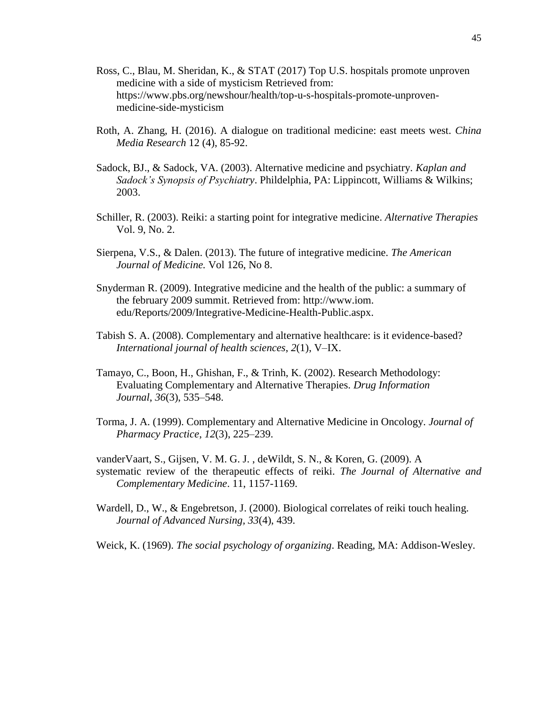- Ross, C., Blau, M. Sheridan, K., & STAT (2017) Top U.S. hospitals promote [unproven](https://www.pbs.org/newshour/health/top-u-s-hospitals-promote-unproven-medicine-side-mysticism) medicine with a side of [mysticism](https://www.pbs.org/newshour/health/top-u-s-hospitals-promote-unproven-medicine-side-mysticism) Retrieved from: [https://www.pbs.org/newshour/health/top-u-s-hospitals-promote-unproven](https://www.pbs.org/newshour/health/top-u-s-hospitals-promote-unproven-medicine-side-mysticism)[medicine-side-mysticism](https://www.pbs.org/newshour/health/top-u-s-hospitals-promote-unproven-medicine-side-mysticism)
- Roth, A. Zhang, H. (2016). A dialogue on traditional medicine: east meets west. *China Media Research* 12 (4), 85-92.
- Sadock, BJ., & Sadock, VA. (2003). Alternative medicine and psychiatry. *Kaplan and Sadock's Synopsis of Psychiatry*. Phildelphia, PA: Lippincott, Williams & Wilkins; 2003.
- Schiller, R. (2003). Reiki: a starting point for integrative medicine. *Alternative Therapies* Vol. 9, No. 2.
- Sierpena, V.S., & Dalen. (2013). The future of integrative medicine. *The American Journal of Medicine.* Vol 126, No 8.
- Snyderman R. (2009). Integrative medicine and the health of the public: a summary of the february 2009 summit. Retrieved from: http://www.iom. edu/Reports/2009/Integrative-Medicine-Health-Public.aspx.
- Tabish S. A. (2008). Complementary and alternative healthcare: is it evidence-based? *International journal of health sciences*, *2*(1), V–IX.
- Tamayo, C., Boon, H., Ghishan, F., & Trinh, K. (2002). Research Methodology: Evaluating Complementary and Alternative Therapies. *Drug Information Journal*, *36*(3), 535–548.
- Torma, J. A. (1999). Complementary and Alternative Medicine in Oncology. *Journal of Pharmacy Practice*, *12*(3), 225–239.

vanderVaart, S., Gijsen, V. M. G. J. , deWildt, S. N., & Koren, G. (2009). A systematic review of the therapeutic effects of reiki. *The Journal of Alternative and Complementary Medicine*. 11, 1157-1169.

Wardell, D., W., & Engebretson, J. (2000). Biological correlates of reiki touch healing. *Journal of Advanced Nursing, 33*(4), 439.

Weick, K. (1969). *The social psychology of organizing*. Reading, MA: Addison-Wesley.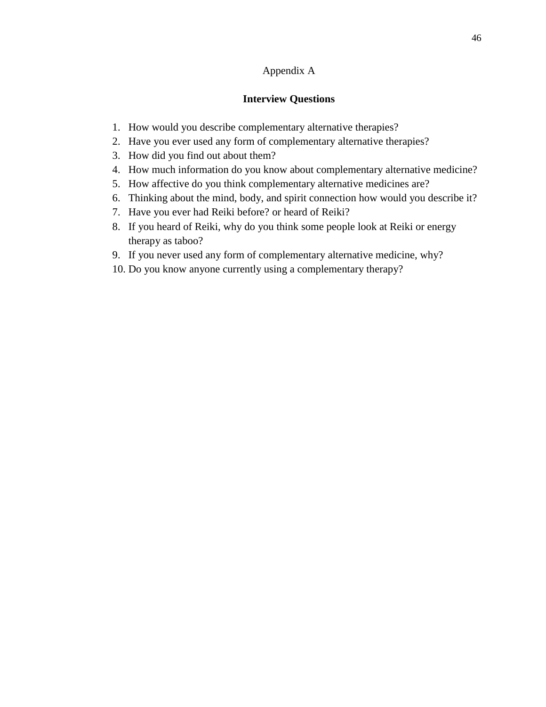# Appendix A

# **Interview Questions**

- 1. How would you describe complementary alternative therapies?
- 2. Have you ever used any form of complementary alternative therapies?
- 3. How did you find out about them?
- 4. How much information do you know about complementary alternative medicine?
- 5. How affective do you think complementary alternative medicines are?
- 6. Thinking about the mind, body, and spirit connection how would you describe it?
- 7. Have you ever had Reiki before? or heard of Reiki?
- 8. If you heard of Reiki, why do you think some people look at Reiki or energy therapy as taboo?
- 9. If you never used any form of complementary alternative medicine, why?
- 10. Do you know anyone currently using a complementary therapy?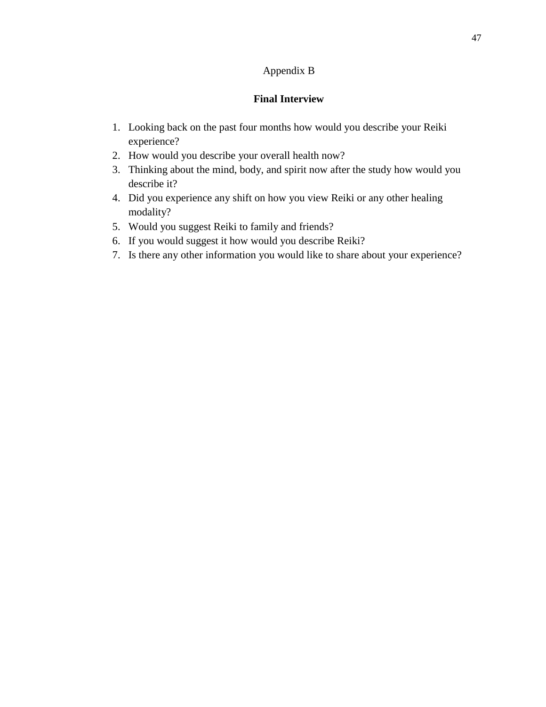# Appendix B

# **Final Interview**

- 1. Looking back on the past four months how would you describe your Reiki experience?
- 2. How would you describe your overall health now?
- 3. Thinking about the mind, body, and spirit now after the study how would you describe it?
- 4. Did you experience any shift on how you view Reiki or any other healing modality?
- 5. Would you suggest Reiki to family and friends?
- 6. If you would suggest it how would you describe Reiki?
- 7. Is there any other information you would like to share about your experience?